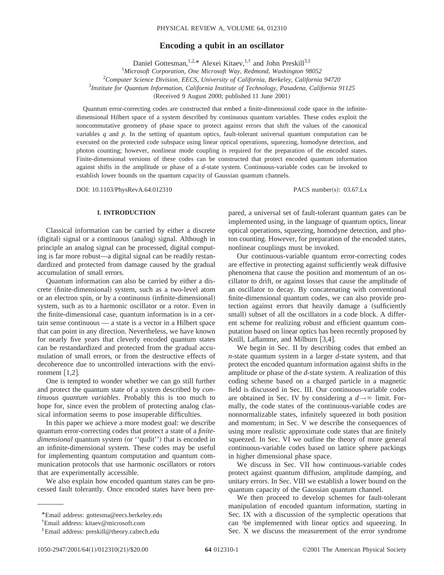### PHYSICAL REVIEW A, VOLUME 64, 012310

# **Encoding a qubit in an oscillator**

Daniel Gottesman,<sup>1,2,\*</sup> Alexei Kitaev,<sup>1,†</sup> and John Preskill<sup>3,‡</sup>

1 *Microsoft Corporation, One Microsoft Way, Redmond, Washington 98052*

2 *Computer Science Division, EECS, University of California, Berkeley, California 94720*

3 *Institute for Quantum Information, California Institute of Technology, Pasadena, California 91125*

(Received 9 August 2000; published 11 June 2001)

Quantum error-correcting codes are constructed that embed a finite-dimensional code space in the infinitedimensional Hilbert space of a system described by continuous quantum variables. These codes exploit the noncommutative geometry of phase space to protect against errors that shift the values of the canonical variables *q* and *p*. In the setting of quantum optics, fault-tolerant universal quantum computation can be executed on the protected code subspace using linear optical operations, squeezing, homodyne detection, and photon counting; however, nonlinear mode coupling is required for the preparation of the encoded states. Finite-dimensional versions of these codes can be constructed that protect encoded quantum information against shifts in the amplitude or phase of a *d*-state system. Continuous-variable codes can be invoked to establish lower bounds on the quantum capacity of Gaussian quantum channels.

DOI: 10.1103/PhysRevA.64.012310 PACS number(s): 03.67.Lx

# **I. INTRODUCTION**

Classical information can be carried by either a discrete (digital) signal or a continuous (analog) signal. Although in principle an analog signal can be processed, digital computing is far more robust—a digital signal can be readily restandardized and protected from damage caused by the gradual accumulation of small errors.

Quantum information can also be carried by either a discrete (finite-dimensional) system, such as a two-level atom or an electron spin, or by a continuous (infinite-dimensional) system, such as to a harmonic oscillator or a rotor. Even in the finite-dimensional case, quantum information is in a certain sense continuous — a state is a vector in a Hilbert space that can point in any direction. Nevertheless, we have known for nearly five years that cleverly encoded quantum states can be restandardized and protected from the gradual accumulation of small errors, or from the destructive effects of decoherence due to uncontrolled interactions with the environment  $[1,2]$ .

One is tempted to wonder whether we can go still further and protect the quantum state of a system described by *continuous quantum variables*. Probably this is too much to hope for, since even the problem of protecting analog classical information seems to pose insuperable difficulties.

In this paper we achieve a more modest goal: we describe quantum error-correcting codes that protect a state of a *finitedimensional* quantum system (or "qudit") that is encoded in an infinite-dimensional system. These codes may be useful for implementing quantum computation and quantum communication protocols that use harmonic oscillators or rotors that are experimentally accessible.

We also explain how encoded quantum states can be processed fault tolerantly. Once encoded states have been prepared, a universal set of fault-tolerant quantum gates can be implemented using, in the language of quantum optics, linear optical operations, squeezing, homodyne detection, and photon counting. However, for preparation of the encoded states, nonlinear couplings must be invoked.

Our continuous-variable quantum error-correcting codes are effective in protecting against sufficiently weak diffusive phenomena that cause the position and momentum of an oscillator to drift, or against losses that cause the amplitude of an oscillator to decay. By concatenating with conventional finite-dimensional quantum codes, we can also provide protection against errors that heavily damage a (sufficiently small) subset of all the oscillators in a code block. A different scheme for realizing robust and efficient quantum computation based on linear optics has been recently proposed by Knill, Laflamme, and Milburn  $[3,4]$ .

We begin in Sec. II by describing codes that embed an *n*-state quantum system in a larger *d*-state system, and that protect the encoded quantum information against shifts in the amplitude or phase of the *d*-state system. A realization of this coding scheme based on a charged particle in a magnetic field is discussed in Sec. III. Our continuous-variable codes are obtained in Sec. IV by considering a  $d \rightarrow \infty$  limit. Formally, the code states of the continuous-variable codes are nonnormalizable states, infinitely squeezed in both position and momentum; in Sec. V we describe the consequences of using more realistic approximate code states that are finitely squeezed. In Sec. VI we outline the theory of more general continuous-variable codes based on lattice sphere packings in higher dimensional phase space.

We discuss in Sec. VII how continuous-variable codes protect against quantum diffusion, amplitude damping, and unitary errors. In Sec. VIII we establish a lower bound on the quantum capacity of the Gaussian quantum channel.

We then proceed to develop schemes for fault-tolerant manipulation of encoded quantum information, starting in Sec. IX with a discussion of the symplectic operations that can <sup>3</sup>be implemented with linear optics and squeezing. In Sec. X we discuss the measurement of the error syndrome

<sup>\*</sup>Email address: gottesma@eecs.berkeley.edu

<sup>†</sup> Email address: kitaev@microsoft.com

<sup>‡</sup>Email address: preskill@theory.caltech.edu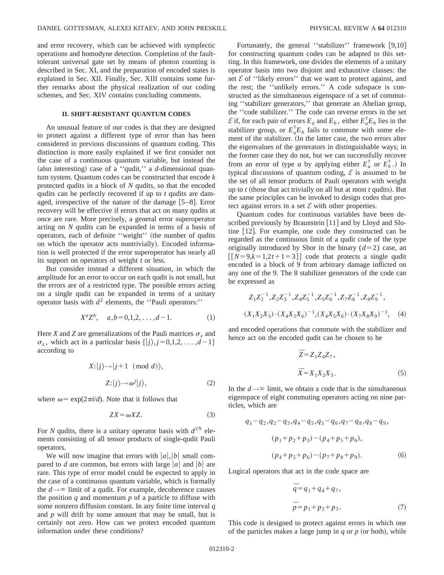and error recovery, which can be achieved with symplectic operations and homodyne detection. Completion of the faulttolerant universal gate set by means of photon counting is described in Sec. XI, and the preparation of encoded states is explained in Sec. XII. Finally, Sec. XIII contains some further remarks about the physical realization of our coding schemes, and Sec. XIV contains concluding comments.

## **II. SHIFT-RESISTANT QUANTUM CODES**

An unusual feature of our codes is that they are designed to protect against a different type of error than has been considered in previous discussions of quantum coding. This distinction is more easily explained if we first consider not the case of a continuous quantum variable, but instead the (also interesting) case of a "qudit," a  $d$ -dimensional quantum system. Quantum codes can be constructed that encode *k* protected qudits in a block of *N* qudits, so that the encoded qudits can be perfectly recovered if up to *t* qudits are damaged, irrespective of the nature of the damage  $[5-8]$ . Error recovery will be effective if errors that act on many qudits at once are rare. More precisely, a general error superoperator acting on *N* qudits can be expanded in terms of a basis of operators, each of definite "weight" (the number of qudits on which the operator acts nontrivially). Encoded information is well protected if the error superoperator has nearly all its support on operators of weight *t* or less.

But consider instead a different situation, in which the amplitude for an error to occur on each qudit is not small, but the errors are of a restricted type. The possible errors acting on a single qudit can be expanded in terms of a unitary operator basis with  $d^2$  elements, the "Pauli operators:"

$$
X^a Z^b, \quad a, b = 0, 1, 2, \dots, d - 1. \tag{1}
$$

Here *X* and *Z* are generalizations of the Pauli matrices  $\sigma_r$  and  $\sigma_z$ , which act in a particular basis  $\{|j\rangle, j=0,1,2,\ldots, d-1\}$ according to

$$
X:|j\rangle \rightarrow |j+1 \pmod{d},
$$
  

$$
Z:|j\rangle \rightarrow \omega^j|j\rangle, \qquad (2)
$$

where  $\omega = \exp(2\pi i/d)$ . Note that it follows that

$$
ZX = \omega XZ. \tag{3}
$$

For *N* qudits, there is a unitary operator basis with  $d^{2N}$  elements consisting of all tensor products of single-qudit Pauli operators.

We will now imagine that errors with  $|a|, |b|$  small compared to *d* are common, but errors with large |a| and |b| are rare. This type of error model could be expected to apply in the case of a continuous quantum variable, which is formally the  $d \rightarrow \infty$  limit of a qudit. For example, decoherence causes the position *q* and momentum *p* of a particle to diffuse with some nonzero diffusion constant. In any finite time interval *q* and *p* will drift by some amount that may be small, but is certainly not zero. How can we protect encoded quantum information under these conditions?

Fortunately, the general "stabilizer" framework  $[9,10]$ for constructing quantum codes can be adapted to this setting. In this framework, one divides the elements of a unitary operator basis into two disjoint and exhaustive classes: the set  $\mathcal E$  of "likely errors" that we want to protect against, and the rest; the ''unlikely errors.'' A code subspace is constructed as the simultaneous eigenspace of a set of commuting ''stabilizer generators,'' that generate an Abelian group, the ''code stabilizer.'' The code can reverse errors in the set E if, for each pair of errors  $E_a$  and  $E_b$ , either  $E_a^{\dagger}E_b$  lies in the stabilizer group, or  $E_a^{\dagger}E_b$  fails to commute with some element of the stabilizer. (In the latter case, the two errors alter the eigenvalues of the generators in distinguishable ways; in the former case they do not, but we can successfully recover from an error of type *a* by applying either  $E_a^{\dagger}$  or  $E_b^{\dagger}$ .) In typical discussions of quantum coding,  $\mathcal E$  is assumed to be the set of all tensor products of Pauli operators with weight up to  $t$  (those that act trivially on all but at most  $t$  qudits). But the same principles can be invoked to design codes that protect against errors in a set  $\mathcal E$  with other properties.

Quantum codes for continuous variables have been described previously by Braunstein [11] and by Lloyd and Slotine  $[12]$ . For example, one code they constructed can be regarded as the continuous limit of a qudit code of the type originally introduced by Shor in the binary  $(d=2)$  case, an  $\lceil N=9, k=1, 2t+1=3 \rceil$  code that protects a single qudit encoded in a block of 9 from arbitrary damage inflicted on any one of the 9. The 8 stabilizer generators of the code can be expressed as

$$
Z_1 Z_2^{-1}, Z_2 Z_3^{-1}, Z_4 Z_5^{-1}, Z_5 Z_6^{-1}, Z_7 Z_8^{-1}, Z_8 Z_9^{-1},
$$
  

$$
(X_1 X_2 X_3) \cdot (X_4 X_5 X_6)^{-1}, (X_4 X_5 X_6) \cdot (X_7 X_8 X_9)^{-1}, \quad (4)
$$

and encoded operations that commute with the stabilizer and hence act on the encoded qudit can be chosen to be

$$
\overline{Z} = Z_1 Z_4 Z_7,
$$
  
\n
$$
\overline{X} = X_1 X_2 X_3.
$$
\n(5)

In the  $d \rightarrow \infty$  limit, we obtain a code that is the simultaneous eigenspace of eight commuting operators acting on nine particles, which are

$$
q_1 - q_2, q_2 - q_3, q_4 - q_5, q_5 - q_6, q_7 - q_8, q_8 - q_9,
$$
  
\n
$$
(p_1 + p_2 + p_3) - (p_4 + p_5 + p_6),
$$
  
\n
$$
(p_4 + p_5 + p_6) - (p_7 + p_8 + p_9).
$$
 (6)

Logical operators that act in the code space are

$$
\overline{q} = q_1 + q_4 + q_7,
$$
  
\n
$$
\overline{p} = p_1 + p_2 + p_3.
$$
\n(7)

This code is designed to protect against errors in which one of the particles makes a large jump in  $q$  or  $p$  (or both), while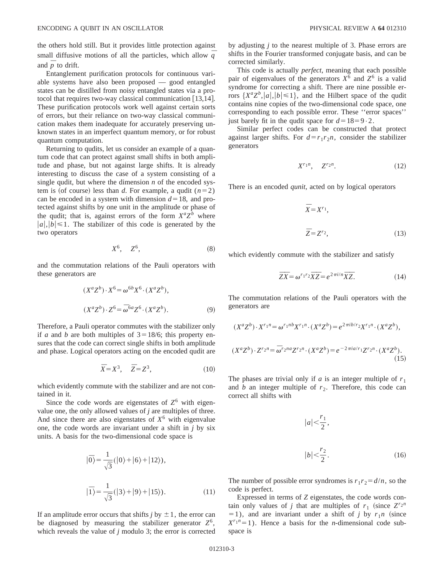the others hold still. But it provides little protection against small diffusive motions of all the particles, which allow  $\overline{q}$ and  $\bar{p}$  to drift.

Entanglement purification protocols for continuous variable systems have also been proposed — good entangled states can be distilled from noisy entangled states via a protocol that requires two-way classical communication  $[13,14]$ . These purification protocols work well against certain sorts of errors, but their reliance on two-way classical communication makes them inadequate for accurately preserving unknown states in an imperfect quantum memory, or for robust quantum computation.

Returning to qudits, let us consider an example of a quantum code that can protect against small shifts in both amplitude and phase, but not against large shifts. It is already interesting to discuss the case of a system consisting of a single qudit, but where the dimension *n* of the encoded system is (of course) less than *d*. For example, a qudit  $(n=2)$ can be encoded in a system with dimension  $d=18$ , and protected against shifts by one unit in the amplitude or phase of the qudit; that is, against errors of the form  $X^a Z^b$  where  $|a|, |b| \leq 1$ . The stabilizer of this code is generated by the two operators

$$
X^6, \quad Z^6,\tag{8}
$$

and the commutation relations of the Pauli operators with these generators are

$$
(X^a Z^b) \cdot X^6 = \omega^{6b} X^6 \cdot (X^a Z^b),
$$
  

$$
(X^a Z^b) \cdot Z^6 = \overline{\omega}^{6a} Z^6 \cdot (X^a Z^b).
$$
 (9)

Therefore, a Pauli operator commutes with the stabilizer only if *a* and *b* are both multiples of  $3 = 18/6$ ; this property ensures that the code can correct single shifts in both amplitude and phase. Logical operators acting on the encoded qudit are

$$
\overline{X} = X^3, \quad \overline{Z} = Z^3, \tag{10}
$$

which evidently commute with the stabilizer and are not contained in it.

Since the code words are eigenstates of  $Z^6$  with eigenvalue one, the only allowed values of *j* are multiples of three. And since there are also eigenstates of  $X^6$  with eigenvalue one, the code words are invariant under a shift in *j* by six units. A basis for the two-dimensional code space is

$$
|\overline{0}\rangle = \frac{1}{\sqrt{3}}(|0\rangle + |6\rangle + |12\rangle),
$$
  

$$
|\overline{1}\rangle = \frac{1}{\sqrt{3}}(|3\rangle + |9\rangle + |15\rangle).
$$
 (11)

If an amplitude error occurs that shifts  $j$  by  $\pm 1$ , the error can be diagnosed by measuring the stabilizer generator  $Z^6$ , which reveals the value of *j* modulo 3; the error is corrected by adjusting *j* to the nearest multiple of 3. Phase errors are shifts in the Fourier transformed conjugate basis, and can be corrected similarly.

This code is actually *perfect*, meaning that each possible pair of eigenvalues of the generators  $X^6$  and  $Z^6$  is a valid syndrome for correcting a shift. There are nine possible errors  $\{X^a Z^b, |a|, |b| \leq 1\}$ , and the Hilbert space of the qudit contains nine copies of the two-dimensional code space, one corresponding to each possible error. These ''error spaces'' just barely fit in the qudit space for  $d=18=9.2$ .

Similar perfect codes can be constructed that protect against larger shifts. For  $d=r_1r_2n$ , consider the stabilizer generators

$$
X^{r_1n}, \quad Z^{r_2n}.\tag{12}
$$

There is an encoded *qunit*, acted on by logical operators

$$
\overline{X} = X^{r_1},
$$
  
\n
$$
\overline{Z} = Z^{r_2},
$$
\n(13)

which evidently commute with the stabilizer and satisfy

$$
\overline{Z}\overline{X} = \omega^{r_1 r_2} \overline{X} \overline{Z} = e^{2\pi i / n} \overline{X} \overline{Z}.
$$
 (14)

The commutation relations of the Pauli operators with the generators are

$$
(X^{a}Z^{b}) \cdot X^{r_{1}n} = \omega^{r_{1}nb} X^{r_{1}n} \cdot (X^{a}Z^{b}) = e^{2\pi ib/r_{2}} X^{r_{1}n} \cdot (X^{a}Z^{b}),
$$
  

$$
(X^{a}Z^{b}) \cdot Z^{r_{2}n} = \overline{\omega}^{r_{2}na} Z^{r_{2}n} \cdot (X^{a}Z^{b}) = e^{-2\pi ia/r_{1}} Z^{r_{2}n} \cdot (X^{a}Z^{b}).
$$
  
(15)

The phases are trivial only if *a* is an integer multiple of  $r_1$ and  $b$  an integer multiple of  $r_2$ . Therefore, this code can correct all shifts with

$$
|a| < \frac{r_1}{2},
$$
  

$$
|b| < \frac{r_2}{2}.
$$
 (16)

The number of possible error syndromes is  $r_1r_2 = d/n$ , so the code is perfect.

Expressed in terms of *Z* eigenstates, the code words contain only values of *j* that are multiples of  $r_1$  (since  $Z^{r_2n}$  $= 1$ ), and are invariant under a shift of *j* by  $r_1 n$  (since  $X^{r_1 n} = 1$ ). Hence a basis for the *n*-dimensional code subspace is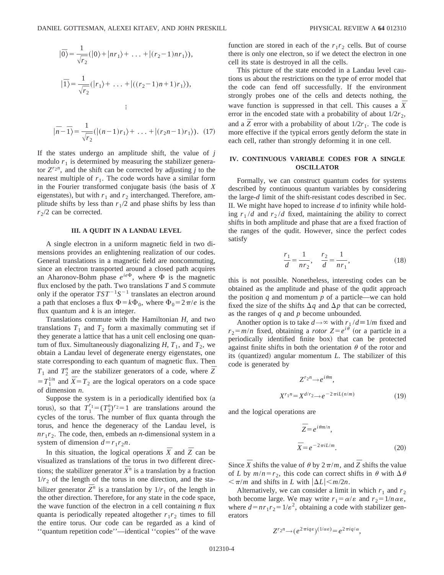$$
|\overline{0}\rangle = \frac{1}{\sqrt{r_2}}(|0\rangle + |nr_1\rangle + \dots + |(r_2 - 1)nr_1\rangle),
$$
  

$$
|\overline{1}\rangle = \frac{1}{\sqrt{r_2}}(|r_1\rangle + \dots + |((r_2 - 1)n + 1)r_1\rangle),
$$
  

$$
\vdots
$$

$$
|\overline{n}-\overline{1}\rangle = \frac{1}{\sqrt{r_2}}(|(n-1)r_1\rangle + \dots + |(r_2n-1)r_1\rangle). \tag{17}
$$

If the states undergo an amplitude shift, the value of *j* modulo  $r_1$  is determined by measuring the stabilizer generator  $Z^{r_2n}$ , and the shift can be corrected by adjusting *j* to the nearest multiple of  $r_1$ . The code words have a similar form in the Fourier transformed conjugate basis (the basis of  $X$ eigenstates), but with  $r_1$  and  $r_2$  interchanged. Therefore, amplitude shifts by less than  $r_1/2$  and phase shifts by less than  $r_2/2$  can be corrected.

## **III. A QUDIT IN A LANDAU LEVEL**

A single electron in a uniform magnetic field in two dimensions provides an enlightening realization of our codes. General translations in a magnetic field are noncommuting, since an electron transported around a closed path acquires an Aharonov-Bohm phase  $e^{ie\Phi}$ , where  $\Phi$  is the magnetic flux enclosed by the path. Two translations *T* and *S* commute only if the operator  $TST^{-1}S^{-1}$  translates an electron around a path that encloses a flux  $\Phi = k\Phi_0$ , where  $\Phi_0 = 2\pi/e$  is the flux quantum and *k* is an integer.

Translations commute with the Hamiltonian *H*, and two translations  $T_1$  and  $T_2$  form a maximally commuting set if they generate a lattice that has a unit cell enclosing one quantum of flux. Simultaneously diagonalizing  $H$ ,  $T_1$ , and  $T_2$ , we obtain a Landau level of degenerate energy eigenstates, one state corresponding to each quantum of magnetic flux. Then  $T_1$  and  $T_2^n$  are the stabilizer generators of a code, where  $\overline{Z}$  $T_1^{1/n}$  and  $\bar{X} = T_2$  are the logical operators on a code space of dimension *n*.

Suppose the system is in a periodically identified box (a torus), so that  $T_1^{r_1} = (T_2^n)^{r_2} = 1$  are translations around the cycles of the torus. The number of flux quanta through the torus, and hence the degeneracy of the Landau level, is  $nr_1r_2$ . The code, then, embeds an *n*-dimensional system in a system of dimension  $d=r_1r_2n$ .

In this situation, the logical operations  $\bar{X}$  and  $\bar{Z}$  can be visualized as translations of the torus in two different directions; the stabilizer generator  $\bar{X}^n$  is a translation by a fraction  $1/r<sub>2</sub>$  of the length of the torus in one direction, and the stabilizer generator  $\bar{Z}^n$  is a translation by  $1/r_1$  of the length in the other direction. Therefore, for any state in the code space, the wave function of the electron in a cell containing *n* flux quanta is periodically repeated altogether  $r_1r_2$  times to fill the entire torus. Our code can be regarded as a kind of ''quantum repetition code''—identical ''copies'' of the wave function are stored in each of the  $r_1r_2$  cells. But of course there is only one electron, so if we detect the electron in one cell its state is destroyed in all the cells.

This picture of the state encoded in a Landau level cautions us about the restrictions on the type of error model that the code can fend off successfully. If the environment strongly probes one of the cells and detects nothing, the wave function is suppressed in that cell. This causes a  $\bar{X}$ error in the encoded state with a probability of about  $1/2r_2$ , and a  $\overline{Z}$  error with a probability of about  $1/2r_1$ . The code is more effective if the typical errors gently deform the state in each cell, rather than strongly deforming it in one cell.

# **IV. CONTINUOUS VARIABLE CODES FOR A SINGLE OSCILLATOR**

Formally, we can construct quantum codes for systems described by continuous quantum variables by considering the large-*d* limit of the shift-resistant codes described in Sec. II. We might have hoped to increase *d* to infinity while holding  $r_1/d$  and  $r_2/d$  fixed, maintaining the ability to correct shifts in both amplitude and phase that are a fixed fraction of the ranges of the qudit. However, since the perfect codes satisfy

$$
\frac{r_1}{d} = \frac{1}{nr_2}, \quad \frac{r_2}{d} = \frac{1}{nr_1},\tag{18}
$$

this is not possible. Nonetheless, interesting codes can be obtained as the amplitude and phase of the qudit approach the position *q* and momentum *p* of a particle—we can hold fixed the size of the shifts  $\Delta q$  and  $\Delta p$  that can be corrected, as the ranges of *q* and *p* become unbounded.

Another option is to take  $d \rightarrow \infty$  with  $r_1 / d \equiv 1/m$  fixed and  $r_2 = m/n$  fixed, obtaining a *rotor*  $Z = e^{i\theta}$  (or a particle in a periodically identified finite box) that can be protected against finite shifts in both the orientation  $\theta$  of the rotor and its (quantized) angular momentum *L*. The stabilizer of this code is generated by

$$
Z^{r_2 n} \rightarrow e^{i \theta m},
$$
  
\n
$$
X^{r_1 n} = X^{d/r_2} \rightarrow e^{-2\pi i L(n/m)}
$$
\n(19)

and the logical operations are

$$
\overline{Z} = e^{i \theta m/n},
$$
  

$$
\overline{X} = e^{-2\pi i L/m}.
$$
 (20)

Since  $\bar{X}$  shifts the value of  $\theta$  by  $2\pi/m$ , and  $\bar{Z}$  shifts the value of *L* by  $m/n = r_2$ , this code can correct shifts in  $\theta$  with  $\Delta \theta$  $\langle \pi/m \rangle$  and shifts in *L* with  $|\Delta L| \langle m/2n \rangle$ .

Alternatively, we can consider a limit in which  $r_1$  and  $r_2$ both become large. We may write  $r_1 = \alpha/\varepsilon$  and  $r_2 = 1/n \alpha \varepsilon$ , where  $d = nr_1r_2 = 1/\varepsilon^2$ , obtaining a code with stabilizer generators

$$
Z^{r_2n}\!\!\rightarrow\! (e^{2\pi i q \varepsilon})^{(1/\alpha\varepsilon)}\!=\!e^{2\pi i q/\alpha},
$$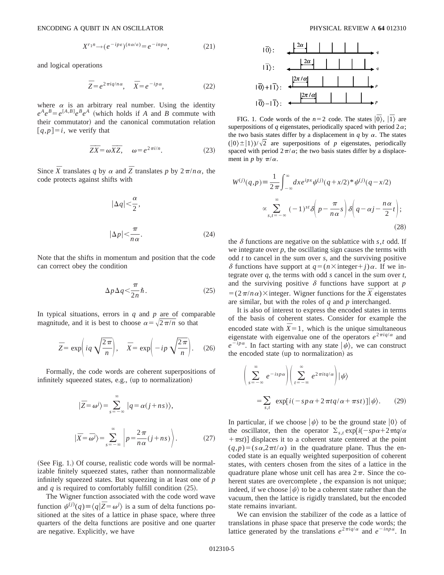$$
X^{r_1 n} \to (e^{-ip\epsilon})^{(n\alpha/\epsilon)} = e^{-inp\alpha}, \tag{21}
$$

and logical operations

$$
\bar{Z} = e^{2\pi i q/n\alpha}, \quad \bar{X} = e^{-ip\alpha}, \tag{22}
$$

where  $\alpha$  is an arbitrary real number. Using the identity  $e^{A}e^{B}=e^{[A,B]}e^{B}e^{A}$  (which holds if *A* and *B* commute with their commutator) and the canonical commutation relation  $[q, p] = i$ , we verify that

$$
\bar{Z}\bar{X} = \omega \bar{X}\bar{Z}, \quad \omega = e^{2\pi i/n}.
$$
 (23)

Since  $\bar{X}$  translates q by  $\alpha$  and  $\bar{Z}$  translates p by  $2\pi/n\alpha$ , the code protects against shifts with

$$
|\Delta q| < \frac{\alpha}{2},
$$
  

$$
|\Delta p| < \frac{\pi}{n\alpha}.
$$
 (24)

Note that the shifts in momentum and position that the code can correct obey the condition

$$
\Delta p \Delta q \le \frac{\pi}{2n} \hbar. \tag{25}
$$

In typical situations, errors in *q* and *p* are of comparable magnitude, and it is best to choose  $\alpha = \sqrt{2\pi/n}$  so that

$$
\bar{Z} = \exp\left( i q \sqrt{\frac{2\pi}{n}} \right), \quad \bar{X} = \exp\left( -i p \sqrt{\frac{2\pi}{n}} \right). \quad (26)
$$

Formally, the code words are coherent superpositions of infinitely squeezed states, e.g.,  $(up to normalization)$ 

$$
|\bar{Z} = \omega^j\rangle = \sum_{s=-\infty}^{\infty} |q = \alpha(j + ns)\rangle,
$$
  

$$
|\bar{X} = \bar{\omega}^j\rangle = \sum_{s=-\infty}^{\infty} \left| p = \frac{2\pi}{n\alpha} (j + ns) \right\rangle.
$$
 (27)

(See Fig. 1.) Of course, realistic code words will be normalizable finitely squeezed states, rather than nonnormalizable infinitely squeezed states. But squeezing in at least one of *p* and  $q$  is required to comfortably fulfill condition  $(25)$ .

The Wigner function associated with the code word wave function  $\psi^{(j)}(q) \equiv \langle q | \bar{Z} = \omega^j \rangle$  is a sum of delta functions positioned at the sites of a lattice in phase space, where three quarters of the delta functions are positive and one quarter are negative. Explicitly, we have



FIG. 1. Code words of the  $n=2$  code. The states  $|\overline{0}\rangle$ ,  $|\overline{1}\rangle$  are superpositions of  $q$  eigenstates, periodically spaced with period  $2\alpha$ ; the two basis states differ by a displacement in  $q$  by  $\alpha$ . The states  $(|0\rangle \pm |1\rangle)/\sqrt{2}$  are superpositions of *p* eigenstates, periodically spaced with period  $2\pi/\alpha$ ; the two basis states differ by a displacement in *p* by  $\pi/\alpha$ .

$$
W^{(j)}(q,p) = \frac{1}{2\pi} \int_{-\infty}^{\infty} dx e^{ipx} \psi^{(j)}(q+x/2)^* \psi^{(j)}(q-x/2)
$$

$$
\propto \sum_{s,t=-\infty}^{\infty} (-1)^{st} \delta\left(p - \frac{\pi}{n\alpha}s\right) \delta\left(q - \alpha j - \frac{n\alpha}{2}t\right);
$$
(28)

the  $\delta$  functions are negative on the sublattice with *s*,*t* odd. If we integrate over  $p$ , the oscillating sign causes the terms with odd *t* to cancel in the sum over *s*, and the surviving positive  $\delta$  functions have support at  $q = (n \times$  integer + *j*) $\alpha$ . If we integrate over *q*, the terms with odd *s* cancel in the sum over *t*, and the surviving positive  $\delta$  functions have support at  $p$  $= (2\pi/n\alpha) \times \text{integer. Wigner functions for the } \overline{X} \text{ eigenstates}$ are similar, but with the roles of *q* and *p* interchanged.

It is also of interest to express the encoded states in terms of the basis of coherent states. Consider for example the encoded state with  $\bar{X} = 1$ , which is the unique simultaneous eigenstate with eigenvalue one of the operators  $e^{2\pi i q/\alpha}$  and  $e^{-ip\alpha}$ . In fact starting with any state  $|\psi\rangle$ , we can construct the encoded state (up to normalization) as

$$
\left(\sum_{s=-\infty}^{\infty} e^{-isp\alpha}\right) \left(\sum_{t=-\infty}^{\infty} e^{2\pi itq/\alpha}\right) |\psi\rangle
$$
  
= 
$$
\sum_{s,t} \exp[i(-sp\alpha+2\pi tq/\alpha+\pi st)] |\psi\rangle.
$$
 (29)

In particular, if we choose  $|\psi\rangle$  to be the ground state  $|0\rangle$  of the oscillator, then the operator  $\sum_{s,t} \exp[i(-sp\alpha+2\pi tq/\alpha)]$  $+\pi st$ ) displaces it to a coherent state centered at the point  $(q, p) = (s \alpha, 2\pi t/\alpha)$  in the quadrature plane. Thus the encoded state is an equally weighted superposition of coherent states, with centers chosen from the sites of a lattice in the quadrature plane whose unit cell has area  $2\pi$ . Since the coherent states are overcomplete , the expansion is not unique; indeed, if we choose  $|\psi\rangle$  to be a coherent state rather than the vacuum, then the lattice is rigidly translated, but the encoded state remains invariant.

We can envision the stabilizer of the code as a lattice of translations in phase space that preserve the code words; the lattice generated by the translations  $e^{2\pi i q/\alpha}$  and  $e^{-i n p \alpha}$ . In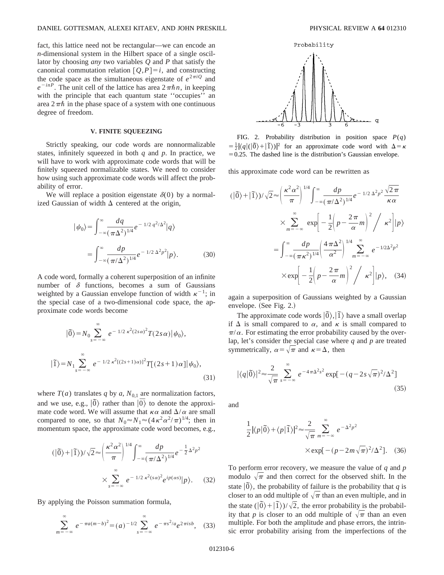fact, this lattice need not be rectangular—we can encode an *n*-dimensional system in the Hilbert space of a single oscillator by choosing *any* two variables *Q* and *P* that satisfy the canonical commutation relation  $[Q, P] = i$ , and constructing the code space as the simultaneous eigenstate of  $e^{2\pi iQ}$  and  $e^{-inP}$ . The unit cell of the lattice has area  $2\pi\hbar n$ , in keeping with the principle that each quantum state ''occupies'' an area  $2\pi\hbar$  in the phase space of a system with one continuous degree of freedom.

# **V. FINITE SQUEEZING**

Strictly speaking, our code words are nonnormalizable states, infinitely squeezed in both *q* and *p*. In practice, we will have to work with approximate code words that will be finitely squeezed normalizable states. We need to consider how using such approximate code words will affect the probability of error.

We will replace a position eigenstate  $\delta(0)$  by a normalized Gaussian of width  $\Delta$  centered at the origin,

$$
|\psi_0\rangle = \int_{-\infty}^{\infty} \frac{dq}{(\pi \Delta^2)^{1/4}} e^{-1/2 q^2/\Delta^2} |q\rangle
$$

$$
= \int_{-\infty}^{\infty} \frac{dp}{(\pi/\Delta^2)^{1/4}} e^{-1/2 \Delta^2 p^2} |p\rangle.
$$
(30)

A code word, formally a coherent superposition of an infinite number of  $\delta$  functions, becomes a sum of Gaussians weighted by a Gaussian envelope function of width  $\kappa^{-1}$ ; in the special case of a two-dimensional code space, the approximate code words become

$$
|\tilde{0}\rangle = N_0 \sum_{s=-\infty}^{\infty} e^{-1/2 \kappa^2 (2s\alpha)^2} T(2s\alpha) |\psi_0\rangle,
$$
  

$$
|\tilde{1}\rangle = N_1 \sum_{s=-\infty}^{\infty} e^{-1/2 \kappa^2 [(2s+1)\alpha)]^2} T[(2s+1)\alpha] |\psi_0\rangle,
$$
  
(31)

where  $T(a)$  translates  $q$  by  $a$ ,  $N_{0,1}$  are normalization factors, and we use, e.g.,  $|\overline{0}\rangle$  rather than  $|\overline{0}\rangle$  to denote the approximate code word. We will assume that  $\kappa \alpha$  and  $\Delta/\alpha$  are small compared to one, so that  $N_0 \approx N_1 \approx (4\kappa^2 \alpha^2/\pi)^{1/4}$ ; then in momentum space, the approximate code word becomes, e.g.,

$$
(|\tilde{0}\rangle + |\tilde{1}\rangle)/\sqrt{2} \approx \left(\frac{\kappa^2 \alpha^2}{\pi}\right)^{1/4} \int_{-\infty}^{\infty} \frac{dp}{(\pi/\Delta^2)^{1/4}} e^{-\frac{1}{2}\Delta^2 p^2}
$$

$$
\times \sum_{s=-\infty}^{\infty} e^{-\frac{1}{2} \kappa^2 (s\alpha)^2} e^{ip(\alpha s)} |p\rangle. \tag{32}
$$

By applying the Poisson summation formula,

$$
\sum_{m=-\infty}^{\infty} e^{-\pi a(m-b)^2} = (a)^{-1/2} \sum_{s=-\infty}^{\infty} e^{-\pi s^2/a} e^{2\pi i s b}, \quad (33)
$$



FIG. 2. Probability distribution in position space *P*(*q*)  $=\frac{1}{2}|\langle q|(|\tilde{0}\rangle+|\tilde{1}\rangle)|^2$  for an approximate code word with  $\Delta = \kappa$  $=0.25$ . The dashed line is the distribution's Gaussian envelope.

this approximate code word can be rewritten as

$$
(|\tilde{0}\rangle + |\tilde{1}\rangle)/\sqrt{2} \approx \left(\frac{\kappa^2 \alpha^2}{\pi}\right)^{1/4} \int_{-\infty}^{\infty} \frac{dp}{(\pi/\Delta^2)^{1/4}} e^{-1/2 \Delta^2 p^2} \frac{\sqrt{2\pi}}{\kappa \alpha}
$$

$$
\times \sum_{m=-\infty}^{\infty} \exp\left[-\frac{1}{2}\left(p - \frac{2\pi}{\alpha}m\right)^2 / \kappa^2\right] |p\rangle
$$

$$
= \int_{-\infty}^{\infty} \frac{dp}{(\pi \kappa^2)^{1/4}} \left(\frac{4\pi \Delta^2}{\alpha^2}\right)^{1/4} \sum_{m=-\infty}^{\infty} e^{-1/2\Delta^2 p^2}
$$

$$
\times \exp\left[-\frac{1}{2}\left(p - \frac{2\pi}{\alpha}m\right)^2 / \kappa^2\right] |p\rangle, \quad (34)
$$

again a superposition of Gaussians weighted by a Gaussian envelope. (See Fig.  $2$ .)

The approximate code words  $|\tilde{0}\rangle$ ,  $|\tilde{1}\rangle$  have a small overlap if  $\Delta$  is small compared to  $\alpha$ , and  $\kappa$  is small compared to  $\pi/\alpha$ . For estimating the error probability caused by the overlap, let's consider the special case where *q* and *p* are treated symmetrically,  $\alpha = \sqrt{\pi}$  and  $\kappa = \Delta$ , then

$$
|\langle q|\tilde{0}\rangle|^2 \approx \frac{2}{\sqrt{\pi}} \sum_{s=-\infty}^{\infty} e^{-4\pi\Delta^2 s^2} \exp[-(q-2s\sqrt{\pi})^2/\Delta^2]
$$
\n(35)

and

$$
\frac{1}{2} |\langle p|\tilde{0}\rangle + \langle p|\tilde{1}\rangle|^2 \approx \frac{2}{\sqrt{\pi}} \sum_{m=-\infty}^{\infty} e^{-\Delta^2 p^2}
$$

$$
\times \exp[-(p - 2m\sqrt{\pi})^2/\Delta^2]. \quad (36)
$$

To perform error recovery, we measure the value of *q* and *p* modulo  $\sqrt{\pi}$  and then correct for the observed shift. In the state  $|\tilde{0}\rangle$ , the probability of failure is the probability that *q* is closer to an odd multiple of  $\sqrt{\pi}$  than an even multiple, and in the state  $(|\tilde{0}\rangle + |\tilde{1}\rangle)/\sqrt{2}$ , the error probability is the probability that *p* is closer to an odd multiple of  $\sqrt{\pi}$  than an even multiple. For both the amplitude and phase errors, the intrinsic error probability arising from the imperfections of the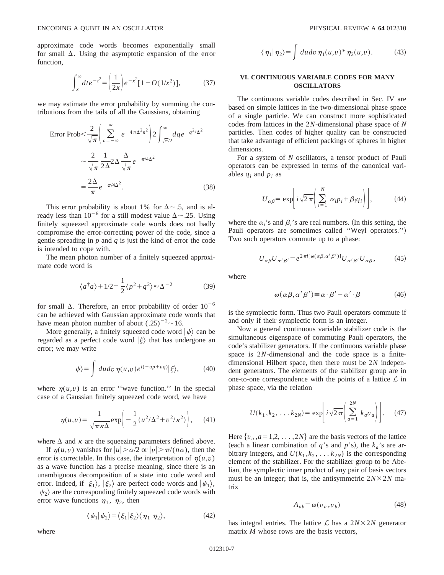approximate code words becomes exponentially small for small  $\Delta$ . Using the asymptotic expansion of the error function,

$$
\int_{x}^{\infty} dt e^{-t^{2}} = \left(\frac{1}{2x}\right) e^{-x^{2}} [1 - O(1/x^{2})],
$$
 (37)

we may estimate the error probability by summing the contributions from the tails of all the Gaussians, obtaining

Error Prob
$$
\frac{2}{\sqrt{\pi}} \left( \sum_{n=-\infty}^{\infty} e^{-4\pi\Delta^2 n^2} \right) 2 \int_{\sqrt{\pi}/2}^{\infty} dq e^{-q^2/\Delta^2}
$$

\n
$$
\sim \frac{2}{\sqrt{\pi}} \frac{1}{2\Delta} 2\Delta \frac{\Delta}{\sqrt{\pi}} e^{-\pi/4\Delta^2}
$$
\n
$$
= \frac{2\Delta}{\pi} e^{-\pi/4\Delta^2}.
$$
\n(38)

This error probability is about 1% for  $\Delta \sim .5$ , and is already less than 10<sup>-6</sup> for a still modest value  $\Delta \sim .25$ . Using finitely squeezed approximate code words does not badly compromise the error-correcting power of the code, since a gentle spreading in *p* and *q* is just the kind of error the code is intended to cope with.

The mean photon number of a finitely squeezed approximate code word is

$$
\langle a^{\dagger} a \rangle + 1/2 = \frac{1}{2} \langle p^2 + q^2 \rangle \approx \Delta^{-2}
$$
 (39)

for small  $\Delta$ . Therefore, an error probability of order  $10^{-6}$ can be achieved with Gaussian approximate code words that have mean photon number of about  $(.25)^{-2} \sim 16$ .

More generally, a finitely squeezed code word  $|\psi\rangle$  can be regarded as a perfect code word  $|\xi\rangle$  that has undergone an error; we may write

$$
|\psi\rangle = \int du dv \ \eta(u,v) e^{i(-up+vq)}|\xi\rangle, \tag{40}
$$

where  $\eta(u,v)$  is an error "wave function." In the special case of a Gaussian finitely squeezed code word, we have

$$
\eta(u,v) = \frac{1}{\sqrt{\pi \kappa \Delta}} \exp\left(-\frac{1}{2} (u^2/\Delta^2 + v^2/\kappa^2)\right), \quad (41)
$$

where  $\Delta$  and  $\kappa$  are the squeezing parameters defined above.

If  $\eta(u,v)$  vanishes for  $|u| > \alpha/2$  or  $|v| > \pi/(n\alpha)$ , then the error is correctable. In this case, the interpretation of  $\eta(u,v)$ as a wave function has a precise meaning, since there is an unambiguous decomposition of a state into code word and error. Indeed, if  $|\xi_1\rangle$ ,  $|\xi_2\rangle$  are perfect code words and  $|\psi_1\rangle$ ,  $|\psi_2\rangle$  are the corresponding finitely squeezed code words with error wave functions  $\eta_1$ ,  $\eta_2$ , then

$$
\langle \psi_1 | \psi_2 \rangle = \langle \xi_1 | \xi_2 \rangle \langle \eta_1 | \eta_2 \rangle, \tag{42}
$$

$$
\langle \eta_1 | \eta_2 \rangle = \int du dv \, \eta_1(u,v)^* \eta_2(u,v). \tag{43}
$$

# **VI. CONTINUOUS VARIABLE CODES FOR MANY OSCILLATORS**

The continuous variable codes described in Sec. IV are based on simple lattices in the two-dimensional phase space of a single particle. We can construct more sophisticated codes from lattices in the 2*N*-dimensional phase space of *N* particles. Then codes of higher quality can be constructed that take advantage of efficient packings of spheres in higher dimensions.

For a system of *N* oscillators, a tensor product of Pauli operators can be expressed in terms of the canonical variables  $q_i$  and  $p_i$  as

$$
U_{\alpha\beta} = \exp\bigg[i\sqrt{2\pi}\bigg(\sum_{i=1}^{N} \alpha_{i} p_{i} + \beta_{i} q_{i}\bigg)\bigg],\tag{44}
$$

where the  $\alpha_i$ 's and  $\beta_i$ 's are real numbers. (In this setting, the Pauli operators are sometimes called "Weyl operators.") Two such operators commute up to a phase:

$$
U_{\alpha\beta}U_{\alpha'\beta'} = e^{2\pi i[\omega(\alpha\beta,\alpha'\beta')]}\U_{\alpha'\beta'}U_{\alpha\beta},\qquad(45)
$$

where

$$
\omega(\alpha \beta, \alpha' \beta') \equiv \alpha \cdot \beta' - \alpha' \cdot \beta \tag{46}
$$

is the symplectic form. Thus two Pauli operators commute if and only if their symplectic form is an integer.

Now a general continuous variable stabilizer code is the simultaneous eigenspace of commuting Pauli operators, the code's stabilizer generators. If the continuous variable phase space is 2*N*-dimensional and the code space is a finitedimensional Hilbert space, then there must be 2*N* independent generators. The elements of the stabilizer group are in one-to-one correspondence with the points of a lattice  $\mathcal L$  in phase space, via the relation

$$
U(k_1, k_2, \dots k_{2N}) = \exp\left[i\sqrt{2\pi}\left(\sum_{a=1}^{2N} k_a v_a\right)\right].
$$
 (47)

Here  $\{v_a, a=1,2,\ldots,2N\}$  are the basis vectors of the lattice (each a linear combination of *q*'s and *p*'s), the  $k_a$ 's are arbitrary integers, and  $U(k_1, k_2, \ldots, k_{2N})$  is the corresponding element of the stabilizer. For the stabilizer group to be Abelian, the symplectic inner product of any pair of basis vectors must be an integer; that is, the antisymmetric  $2N\times2N$  matrix

$$
A_{ab} = \omega(v_a, v_b) \tag{48}
$$

has integral entries. The lattice  $\mathcal{L}$  has a  $2N\times 2N$  generator matrix *M* whose rows are the basis vectors,

012310-7

where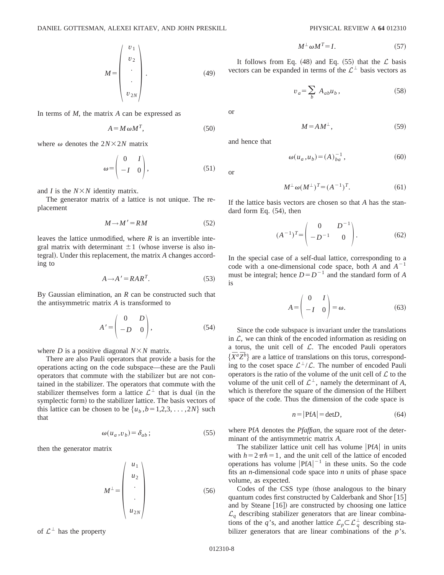$$
M = \begin{pmatrix} v_1 \\ v_2 \\ \cdot \\ \cdot \\ v_{2N} \end{pmatrix} . \tag{49}
$$

In terms of *M*, the matrix *A* can be expressed as

$$
A = M \omega M^T, \tag{50}
$$

where  $\omega$  denotes the  $2N\times2N$  matrix

$$
\omega = \begin{pmatrix} 0 & I \\ -I & 0 \end{pmatrix}, \tag{51}
$$

and *I* is the  $N \times N$  identity matrix.

The generator matrix of a lattice is not unique. The replacement

$$
M \to M' = RM \tag{52}
$$

leaves the lattice unmodified, where *R* is an invertible integral matrix with determinant  $\pm 1$  (whose inverse is also integral). Under this replacement, the matrix *A* changes according to

$$
A \rightarrow A' = R A R^T. \tag{53}
$$

By Gaussian elimination, an *R* can be constructed such that the antisymmetric matrix *A* is transformed to

$$
A' = \begin{pmatrix} 0 & D \\ -D & 0 \end{pmatrix}, \tag{54}
$$

where *D* is a positive diagonal  $N \times N$  matrix.

There are also Pauli operators that provide a basis for the operations acting on the code subspace—these are the Pauli operators that commute with the stabilizer but are not contained in the stabilizer. The operators that commute with the stabilizer themselves form a lattice  $\mathcal{L}^{\perp}$  that is dual (in the symplectic form) to the stabilizer lattice. The basis vectors of this lattice can be chosen to be  $\{u_b, b=1,2,3,\ldots,2N\}$  such that

$$
\omega(u_a, v_b) = \delta_{ab} \, ; \tag{55}
$$

then the generator matrix

$$
M^{\perp} = \begin{pmatrix} u_1 \\ u_2 \\ \vdots \\ u_{2N} \end{pmatrix}
$$
 (56)

of  $\mathcal{L}^{\perp}$  has the property

$$
M^{\perp} \omega M^T = I. \tag{57}
$$

It follows from Eq. (48) and Eq. (55) that the  $\mathcal L$  basis vectors can be expanded in terms of the  $\mathcal{L}^{\perp}$  basis vectors as

$$
v_a = \sum_b A_{ab} u_b, \qquad (58)
$$

or

$$
M = AM^{\perp},\tag{59}
$$

and hence that

or

$$
M^{\perp} \omega (M^{\perp})^T = (A^{-1})^T.
$$
 (61)

 $\omega(u_a, u_b) = (A)_{ba}^{-1}$ , (60)

If the lattice basis vectors are chosen so that *A* has the standard form Eq.  $(54)$ , then

$$
(A^{-1})^T = \begin{pmatrix} 0 & D^{-1} \\ -D^{-1} & 0 \end{pmatrix}.
$$
 (62)

In the special case of a self-dual lattice, corresponding to a code with a one-dimensional code space, both *A* and  $A^{-1}$ must be integral; hence  $D = D^{-1}$  and the standard form of *A* is

$$
A = \begin{pmatrix} 0 & I \\ -I & 0 \end{pmatrix} = \omega.
$$
 (63)

Since the code subspace is invariant under the translations in  $\mathcal{L}$ , we can think of the encoded information as residing on a torus, the unit cell of  $L$ . The encoded Pauli operators  $\{\bar{X}^a \bar{Z}^b\}$  are a lattice of translations on this torus, corresponding to the coset space  $\mathcal{L}^{\perp}/\mathcal{L}$ . The number of encoded Pauli operators is the ratio of the volume of the unit cell of  $\mathcal L$  to the volume of the unit cell of  $\mathcal{L}^{\perp}$ , namely the determinant of *A*, which is therefore the square of the dimension of the Hilbert space of the code. Thus the dimension of the code space is

$$
n = |\text{PfA}| = \text{det}D,\tag{64}
$$

where Pf*A* denotes the *Pfaffian*, the square root of the determinant of the antisymmetric matrix *A*.

The stabilizer lattice unit cell has volume |PfA| in units with  $h=2\pi\hbar=1$ , and the unit cell of the lattice of encoded operations has volume  $|PfA|^{-1}$  in these units. So the code fits an *n*-dimensional code space into *n* units of phase space volume, as expected.

Codes of the CSS type (those analogous to the binary quantum codes first constructed by Calderbank and Shor  $[15]$ and by Steane  $(16)$  are constructed by choosing one lattice  $\mathcal{L}_q$  describing stabilizer generators that are linear combinations of the *q*'s, and another lattice  $\mathcal{L}_p \subset \mathcal{L}_q^{\perp}$  describing stabilizer generators that are linear combinations of the *p*'s.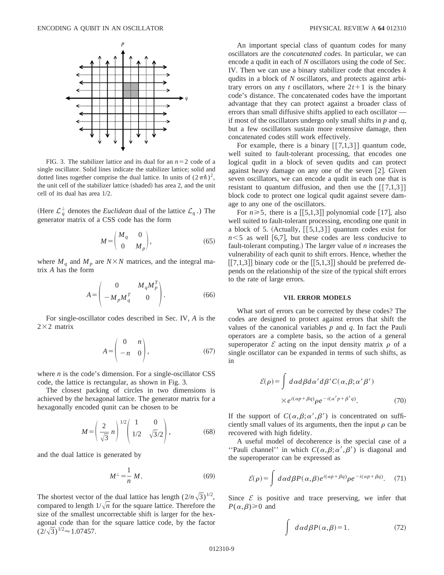

FIG. 3. The stabilizer lattice and its dual for an  $n=2$  code of a single oscillator. Solid lines indicate the stabilizer lattice; solid and dotted lines together comprise the dual lattice. In units of  $(2\pi\hbar)^2$ , the unit cell of the stabilizer lattice (shaded) has area 2, and the unit cell of its dual has area 1/2.

(Here  $\mathcal{L}_q^{\perp}$  denotes the *Euclidean* dual of the lattice  $\mathcal{L}_q$ .) The generator matrix of a CSS code has the form

$$
M = \begin{pmatrix} M_q & 0 \\ 0 & M_p \end{pmatrix}, \tag{65}
$$

where  $M_q$  and  $M_p$  are  $N \times N$  matrices, and the integral matrix *A* has the form

$$
A = \begin{pmatrix} 0 & M_q M_p^T \\ -M_p M_q^T & 0 \end{pmatrix}.
$$
 (66)

For single-oscillator codes described in Sec. IV, *A* is the  $2\times2$  matrix

$$
A = \begin{pmatrix} 0 & n \\ -n & 0 \end{pmatrix}, \tag{67}
$$

where *n* is the code's dimension. For a single-oscillator CSS code, the lattice is rectangular, as shown in Fig. 3.

The closest packing of circles in two dimensions is achieved by the hexagonal lattice. The generator matrix for a hexagonally encoded qunit can be chosen to be

$$
M = \left(\frac{2}{\sqrt{3}} n\right)^{1/2} \left(\begin{array}{cc} 1 & 0\\ 1/2 & \sqrt{3}/2 \end{array}\right),\tag{68}
$$

and the dual lattice is generated by

$$
M^{\perp} = \frac{1}{n} M. \tag{69}
$$

The shortest vector of the dual lattice has length  $(2/n\sqrt{3})^{1/2}$ , compared to length  $1/\sqrt{n}$  for the square lattice. Therefore the size of the smallest uncorrectable shift is larger for the hexagonal code than for the square lattice code, by the factor  $(2/\sqrt{3})^{1/2} \approx 1.07457$ .

An important special class of quantum codes for many oscillators are the *concatenated codes*. In particular, we can encode a qudit in each of *N* oscillators using the code of Sec. IV. Then we can use a binary stabilizer code that encodes *k* qudits in a block of *N* oscillators, and protects against arbitrary errors on any *t* oscillators, where  $2t+1$  is the binary code's distance. The concatenated codes have the important advantage that they can protect against a broader class of errors than small diffusive shifts applied to each oscillator if most of the oscillators undergo only small shifts in *p* and *q*, but a few oscillators sustain more extensive damage, then concatenated codes still work effectively.

For example, there is a binary  $[[7,1,3]]$  quantum code, well suited to fault-tolerant processing, that encodes one logical qudit in a block of seven qudits and can protect against heavy damage on any one of the seven  $[2]$ . Given seven oscillators, we can encode a qudit in each one that is resistant to quantum diffusion, and then use the  $[[7,1,3]]$ block code to protect one logical qudit against severe damage to any one of the oscillators.

For  $n \ge 5$ , there is a [[5,1,3]] polynomial code [17], also well suited to fault-tolerant processing, encoding one qunit in a block of 5. (Actually,  $[[5,1,3]]$  quantum codes exist for  $n \leq 5$  as well [6,7], but these codes are less conducive to fault-tolerant computing.) The larger value of *n* increases the vulnerability of each qunit to shift errors. Hence, whether the  $[[7,1,3]]$  binary code or the  $[[5,1,3]]$  should be preferred depends on the relationship of the size of the typical shift errors to the rate of large errors.

### **VII. ERROR MODELS**

What sort of errors can be corrected by these codes? The codes are designed to protect against errors that shift the values of the canonical variables *p* and *q*. In fact the Pauli operators are a complete basis, so the action of a general superoperator  $\mathcal E$  acting on the input density matrix  $\rho$  of a single oscillator can be expanded in terms of such shifts, as in

$$
\mathcal{E}(\rho) = \int d\alpha d\beta d\alpha' d\beta' C(\alpha, \beta; \alpha' \beta')
$$
  
 
$$
\times e^{i(\alpha p + \beta q)} \rho e^{-i(\alpha' p + \beta' q)}.
$$
 (70)

If the support of  $C(\alpha,\beta;\alpha',\beta')$  is concentrated on sufficiently small values of its arguments, then the input  $\rho$  can be recovered with high fidelity.

A useful model of decoherence is the special case of a "Pauli channel" in which  $C(\alpha,\beta;\alpha',\beta')$  is diagonal and the superoperator can be expressed as

$$
\mathcal{E}(\rho) = \int d\alpha d\beta P(\alpha, \beta) e^{i(\alpha p + \beta q)} \rho e^{-i(\alpha p + \beta q)}.
$$
 (71)

Since  $\mathcal E$  is positive and trace preserving, we infer that  $P(\alpha,\beta) \geq 0$  and

$$
\int d\alpha d\beta P(\alpha, \beta) = 1. \tag{72}
$$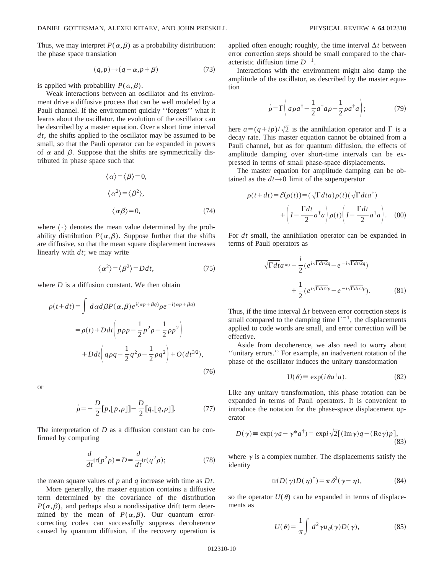Thus, we may interpret  $P(\alpha, \beta)$  as a probability distribution: the phase space translation

$$
(q,p)\rightarrow(q-\alpha,p+\beta) \tag{73}
$$

is applied with probability  $P(\alpha, \beta)$ .

Weak interactions between an oscillator and its environment drive a diffusive process that can be well modeled by a Pauli channel. If the environment quickly ''forgets'' what it learns about the oscillator, the evolution of the oscillator can be described by a master equation. Over a short time interval *dt*, the shifts applied to the oscillator may be assumed to be small, so that the Pauli operator can be expanded in powers of  $\alpha$  and  $\beta$ . Suppose that the shifts are symmetrically distributed in phase space such that

$$
\langle \alpha \rangle = \langle \beta \rangle = 0,
$$
  

$$
\langle \alpha^2 \rangle = \langle \beta^2 \rangle,
$$
  

$$
\langle \alpha \beta \rangle = 0,
$$
 (74)

where  $\langle \cdot \rangle$  denotes the mean value determined by the probability distribution  $P(\alpha, \beta)$ . Suppose further that the shifts are diffusive, so that the mean square displacement increases linearly with *dt*; we may write

$$
\langle \alpha^2 \rangle = \langle \beta^2 \rangle = D dt, \tag{75}
$$

where *D* is a diffusion constant. We then obtain

$$
\rho(t+dt) = \int d\alpha d\beta P(\alpha, \beta) e^{i(\alpha p + \beta q)} \rho e^{-i(\alpha p + \beta q)}
$$

$$
= \rho(t) + Ddt \left( p \rho p - \frac{1}{2} p^2 \rho - \frac{1}{2} \rho p^2 \right)
$$

$$
+ Ddt \left( q \rho q - \frac{1}{2} q^2 \rho - \frac{1}{2} \rho q^2 \right) + O(dt^{3/2}),
$$
(76)

or

$$
\dot{\rho} = -\frac{D}{2} [p, [p, \rho]] - \frac{D}{2} [q, [q, \rho]]. \tag{77}
$$

The interpretation of *D* as a diffusion constant can be confirmed by computing

$$
\frac{d}{dt}\text{tr}(p^2\rho) = D = \frac{d}{dt}\text{tr}(q^2\rho);
$$
\n(78)

the mean square values of *p* and *q* increase with time as *Dt*.

More generally, the master equation contains a diffusive term determined by the covariance of the distribution  $P(\alpha,\beta)$ , and perhaps also a nondissipative drift term determined by the mean of  $P(\alpha, \beta)$ . Our quantum errorcorrecting codes can successfully suppress decoherence caused by quantum diffusion, if the recovery operation is applied often enough; roughly, the time interval  $\Delta t$  between error correction steps should be small compared to the characteristic diffusion time  $D^{-1}$ .

Interactions with the environment might also damp the amplitude of the oscillator, as described by the master equation

$$
\dot{\rho} = \Gamma \left( a \rho a^{\dagger} - \frac{1}{2} a^{\dagger} a \rho - \frac{1}{2} \rho a^{\dagger} a \right); \tag{79}
$$

here  $a=(q+ip)/\sqrt{2}$  is the annihilation operator and  $\Gamma$  is a decay rate. This master equation cannot be obtained from a Pauli channel, but as for quantum diffusion, the effects of amplitude damping over short-time intervals can be expressed in terms of small phase-space displacements.

The master equation for amplitude damping can be obtained as the  $dt \rightarrow 0$  limit of the superoperator

$$
\rho(t+dt) = \mathcal{E}(\rho(t)) = (\sqrt{\Gamma dt}a)\rho(t)(\sqrt{\Gamma dt}a^{\dagger})
$$

$$
+ \left(I - \frac{\Gamma dt}{2}a^{\dagger}a\right)\rho(t)\left(I - \frac{\Gamma dt}{2}a^{\dagger}a\right). \quad (80)
$$

For *dt* small, the annihilation operator can be expanded in terms of Pauli operators as

$$
\sqrt{\Gamma dt} a \approx -\frac{i}{2} \left( e^{i\sqrt{\Gamma dt/2}q} - e^{-i\sqrt{\Gamma dt/2}q} \right) + \frac{1}{2} \left( e^{i\sqrt{\Gamma dt/2}p} - e^{-i\sqrt{\Gamma dt/2}p} \right). \tag{81}
$$

Thus, if the time interval  $\Delta t$  between error correction steps is small compared to the damping time  $\Gamma^{-1}$ , the displacements applied to code words are small, and error correction will be effective.

Aside from decoherence, we also need to worry about ''unitary errors.'' For example, an inadvertent rotation of the phase of the oscillator induces the unitary transformation

$$
U(\theta) \equiv \exp(i\theta a^{\dagger} a). \tag{82}
$$

Like any unitary transformation, this phase rotation can be expanded in terms of Pauli operators. It is convenient to introduce the notation for the phase-space displacement operator

$$
D(\gamma) \equiv \exp(\gamma a - \gamma^* a^{\dagger}) = \exp(i\sqrt{2}[(\text{Im}\gamma)q - (\text{Re}\gamma)p],
$$
\n(83)

where  $\gamma$  is a complex number. The displacements satisfy the identity

$$
tr(D(\gamma)D(\eta)^{\dagger}) = \pi \delta^2(\gamma - \eta), \tag{84}
$$

so the operator  $U(\theta)$  can be expanded in terms of displacements as

$$
U(\theta) = \frac{1}{\pi} \int d^2 \gamma u_\theta(\gamma) D(\gamma), \qquad (85)
$$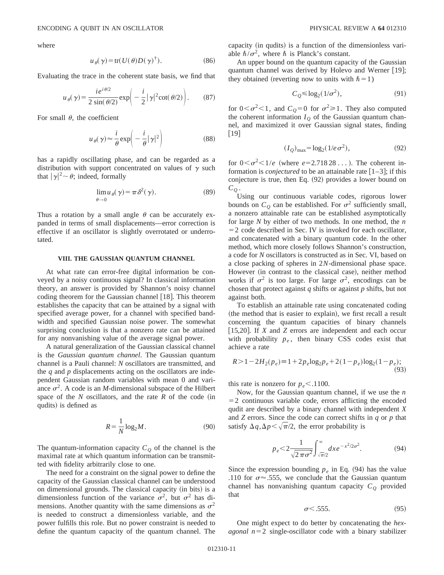where

$$
u_{\theta}(\gamma) = \text{tr}(U(\theta)D(\gamma)^{\dagger}).
$$
 (86)

Evaluating the trace in the coherent state basis, we find that

$$
u_{\theta}(\gamma) = \frac{i e^{i \theta/2}}{2 \sin(\theta/2)} \exp\left(-\frac{i}{2} |\gamma|^2 \cot(\theta/2)\right).
$$
 (87)

For small  $\theta$ , the coefficient

$$
u_{\theta}(\gamma) \approx \frac{i}{\theta} \exp\left(-\frac{i}{\theta}|\gamma|^2\right) \tag{88}
$$

has a rapidly oscillating phase, and can be regarded as a distribution with support concentrated on values of  $\gamma$  such that  $|\gamma|^2 \sim \theta$ ; indeed, formally

$$
\lim_{\theta \to 0} u_{\theta}(\gamma) = \pi \delta^2(\gamma). \tag{89}
$$

Thus a rotation by a small angle  $\theta$  can be accurately expanded in terms of small displacements—error correction is effective if an oscillator is slightly overrotated or underrotated.

## **VIII. THE GAUSSIAN QUANTUM CHANNEL**

At what rate can error-free digital information be conveyed by a noisy continuous signal? In classical information theory, an answer is provided by Shannon's noisy channel coding theorem for the Gaussian channel  $[18]$ . This theorem establishes the capacity that can be attained by a signal with specified average power, for a channel with specified bandwidth and specified Gaussian noise power. The somewhat surprising conclusion is that a nonzero rate can be attained for any nonvanishing value of the average signal power.

A natural generalization of the Gaussian classical channel is the *Gaussian quantum channel*. The Gaussian quantum channel is a Pauli channel: *N* oscillators are transmitted, and the  $q$  and  $p$  displacements acting on the oscillators are independent Gaussian random variables with mean 0 and variance  $\sigma^2$ . A code is an *M*-dimensional subspace of the Hilbert space of the  $N$  oscillators, and the rate  $R$  of the code (in qudits) is defined as

$$
R = \frac{1}{N} \log_2 M. \tag{90}
$$

The quantum-information capacity  $C<sub>O</sub>$  of the channel is the maximal rate at which quantum information can be transmitted with fidelity arbitrarily close to one.

The need for a constraint on the signal power to define the capacity of the Gaussian classical channel can be understood on dimensional grounds. The classical capacity (in bits) is a dimensionless function of the variance  $\sigma^2$ , but  $\sigma^2$  has dimensions. Another quantity with the same dimensions as  $\sigma^2$ is needed to construct a dimensionless variable, and the power fulfills this role. But no power constraint is needed to define the quantum capacity of the quantum channel. The capacity (in qudits) is a function of the dimensionless variable  $\hbar/\sigma^2$ , where  $\hbar$  is Planck's constant.

An upper bound on the quantum capacity of the Gaussian quantum channel was derived by Holevo and Werner  $[19]$ ; they obtained (reverting now to units with  $\hbar=1$ )

$$
C_{Q} \leq \log_2(1/\sigma^2),\tag{91}
$$

for  $0<\sigma^2<1$ , and  $C_Q=0$  for  $\sigma^2\geq 1$ . They also computed the coherent information  $I<sub>O</sub>$  of the Gaussian quantum channel, and maximized it over Gaussian signal states, finding | 19 |

$$
(I_Q)_{\text{max}} = \log_2(1/e\,\sigma^2),\tag{92}
$$

for  $0<\sigma^2<1/e$  (where  $e=2.71828...$ ). The coherent information is *conjectured* to be an attainable rate  $[1-3]$ ; if this conjecture is true, then Eq.  $(92)$  provides a lower bound on  $C_Q$ .

Using our continuous variable codes, rigorous lower bounds on  $C_Q$  can be established. For  $\sigma^2$  sufficiently small, a nonzero attainable rate can be established asymptotically for large *N* by either of two methods. In one method, the *n*  $=$  2 code described in Sec. IV is invoked for each oscillator, and concatenated with a binary quantum code. In the other method, which more closely follows Shannon's construction, a code for *N* oscillators is constructed as in Sec. VI, based on a close packing of spheres in 2*N*-dimensional phase space. However (in contrast to the classical case), neither method works if  $\sigma^2$  is too large. For large  $\sigma^2$ , encodings can be chosen that protect against *q* shifts or against *p* shifts, but not against both.

To establish an attainable rate using concatenated coding (the method that is easier to explain), we first recall a result concerning the quantum capacities of binary channels [15,20]. If  $X$  and  $Z$  errors are independent and each occur with probability  $p_e$ , then binary CSS codes exist that achieve a rate

$$
R > 1 - 2H_2(p_e) \equiv 1 + 2p_e \log_2 p_e + 2(1 - p_e) \log_2 (1 - p_e);
$$
\n(93)

this rate is nonzero for  $p_e$ <.1100.

Now, for the Gaussian quantum channel, if we use the *n*  $=$  2 continuous variable code, errors afflicting the encoded qudit are described by a binary channel with independent *X* and *Z* errors. Since the code can correct shifts in *q* or *p* that satisfy  $\Delta q$ ,  $\Delta p < \sqrt{\pi}/2$ , the error probability is

$$
p_e < 2 \frac{1}{\sqrt{2\pi\sigma^2}} \int_{\sqrt{\pi}/2}^{\infty} dx e^{-x^2/2\sigma^2}.
$$
 (94)

Since the expression bounding  $p_e$  in Eq.  $(94)$  has the value .110 for  $\sigma \approx 0.555$ , we conclude that the Gaussian quantum channel has nonvanishing quantum capacity  $C<sub>O</sub>$  provided that

$$
\sigma < .555. \tag{95}
$$

One might expect to do better by concatenating the *hexagonal*  $n=2$  single-oscillator code with a binary stabilizer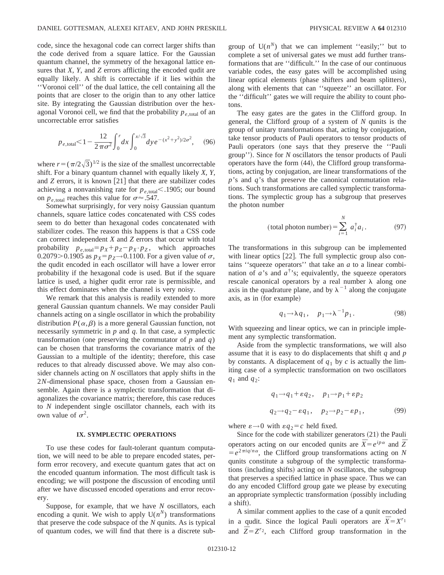code, since the hexagonal code can correct larger shifts than the code derived from a square lattice. For the Gaussian quantum channel, the symmetry of the hexagonal lattice ensures that *X*, *Y*, and *Z* errors afflicting the encoded qudit are equally likely. A shift is correctable if it lies within the ''Voronoi cell'' of the dual lattice, the cell containing all the points that are closer to the origin than to any other lattice site. By integrating the Gaussian distribution over the hexagonal Voronoi cell, we find that the probability  $p_{e \text{ total}}$  of an uncorrectable error satisfies

$$
p_{e,\text{total}} < 1 - \frac{12}{2\pi\sigma^2} \int_0^r dx \int_0^{x/\sqrt{3}} dy e^{-(x^2 + y^2)/2\sigma^2}, \quad (96)
$$

where  $r=(\pi/2\sqrt{3})^{1/2}$  is the size of the smallest uncorrectable shift. For a binary quantum channel with equally likely *X*, *Y*, and  $Z$  errors, it is known  $[21]$  that there are stabilizer codes achieving a nonvanishing rate for  $p_{e,\text{total}}$  < 1905; our bound on  $p_{e,\text{total}}$  reaches this value for  $\sigma \approx .547$ .

Somewhat surprisingly, for very noisy Gaussian quantum channels, square lattice codes concatenated with CSS codes seem to do better than hexagonal codes concatenated with stabilizer codes. The reason this happens is that a CSS code can correct independent *X* and *Z* errors that occur with total probability  $p_{e,\text{total}} = p_X + p_Z - p_X \cdot p_Z$ , which approaches 0.2079>0.1905 as  $p_X = p_Z \to 0.1100$ . For a given value of  $\sigma$ , the qudit encoded in each oscillator will have a lower error probability if the hexagonal code is used. But if the square lattice is used, a higher qudit error rate is permissible, and this effect dominates when the channel is very noisy.

We remark that this analysis is readily extended to more general Gaussian quantum channels. We may consider Pauli channels acting on a single oscillator in which the probability distribution  $P(\alpha, \beta)$  is a more general Gaussian function, not necessarily symmetric in *p* and *q*. In that case, a symplectic transformation (one preserving the commutator of  $p$  and  $q$ ) can be chosen that transforms the covariance matrix of the Gaussian to a multiple of the identity; therefore, this case reduces to that already discussed above. We may also consider channels acting on *N* oscillators that apply shifts in the 2*N*-dimensional phase space, chosen from a Gaussian ensemble. Again there is a symplectic transformation that diagonalizes the covariance matrix; therefore, this case reduces to *N* independent single oscillator channels, each with its own value of  $\sigma^2$ .

#### **IX. SYMPLECTIC OPERATIONS**

To use these codes for fault-tolerant quantum computation, we will need to be able to prepare encoded states, perform error recovery, and execute quantum gates that act on the encoded quantum information. The most difficult task is encoding; we will postpone the discussion of encoding until after we have discussed encoded operations and error recovery.

Suppose, for example, that we have *N* oscillators, each encoding a qunit. We wish to apply  $U(n^N)$  transformations that preserve the code subspace of the *N* qunits. As is typical of quantum codes, we will find that there is a discrete subgroup of  $U(n^N)$  that we can implement "easily;" but to complete a set of universal gates we must add further transformations that are ''difficult.'' In the case of our continuous variable codes, the easy gates will be accomplished using linear optical elements (phase shifters and beam splitters), along with elements that can ''squeeze'' an oscillator. For the ''difficult'' gates we will require the ability to count photons.

The easy gates are the gates in the Clifford group. In general, the Clifford group of a system of *N* qunits is the group of unitary transformations that, acting by conjugation, take tensor products of Pauli operators to tensor products of Pauli operators (one says that they preserve the "Pauli group''). Since for *N* oscillators the tensor products of Pauli operators have the form  $(44)$ , the Clifford group transformations, acting by conjugation, are linear transformations of the *p*'s and *q*'s that preserve the canonical commutation relations. Such transformations are called symplectic transformations. The symplectic group has a subgroup that preserves the photon number

$$
(\text{total photon number}) = \sum_{i=1}^{N} a_i^{\dagger} a_i. \tag{97}
$$

The transformations in this subgroup can be implemented with linear optics  $[22]$ . The full symplectic group also contains ''squeeze operators'' that take an *a* to a linear combination of  $a$ 's and  $a^{\dagger}$ 's; equivalently, the squeeze operators rescale canonical operators by a real number  $\lambda$  along one axis in the quadrature plane, and by  $\lambda^{-1}$  along the conjugate axis, as in (for example)

$$
q_1 \to \lambda q_1, \quad p_1 \to \lambda^{-1} p_1. \tag{98}
$$

With squeezing and linear optics, we can in principle implement any symplectic transformation.

Aside from the symplectic transformations, we will also assume that it is easy to do displacements that shift *q* and *p* by constants. A displacement of  $q_1$  by c is actually the limiting case of a symplectic transformation on two oscillators  $q_1$  and  $q_2$ :

$$
q_1 \rightarrow q_1 + \varepsilon q_2, \quad p_1 \rightarrow p_1 + \varepsilon p_2
$$
  

$$
q_2 \rightarrow q_2 - \varepsilon q_1, \quad p_2 \rightarrow p_2 - \varepsilon p_1,
$$
 (99)

where  $\varepsilon \rightarrow 0$  with  $\varepsilon q_2 = c$  held fixed.

Since for the code with stabilizer generators  $(21)$  the Pauli operators acting on our encoded qunits are  $\bar{X} = e^{ip\alpha}$  and  $\bar{Z}$  $= e^{2\pi i q/n\alpha}$ , the Clifford group transformations acting on *N* qunits constitute a subgroup of the symplectic transformations (including shifts) acting on *N* oscillators, the subgroup that preserves a specified lattice in phase space. Thus we can do any encoded Clifford group gate we please by executing an appropriate symplectic transformation (possibly including a shift).

A similar comment applies to the case of a qunit encoded in a qudit. Since the logical Pauli operators are  $\bar{X} = X^{r_1}$ and  $\bar{Z} = Z^{r_2}$ , each Clifford group transformation in the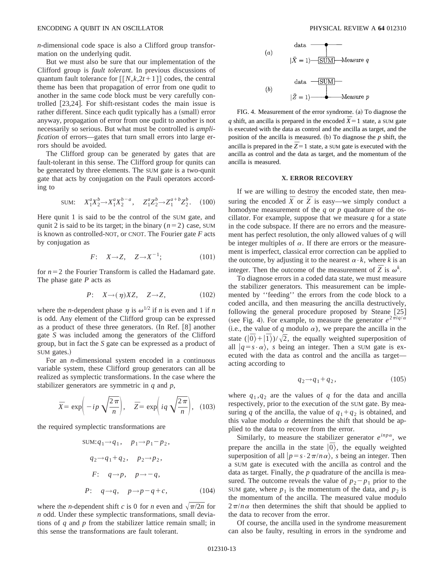*n*-dimensional code space is also a Clifford group transformation on the underlying qudit.

But we must also be sure that our implementation of the Clifford group is *fault tolerant*. In previous discussions of quantum fault tolerance for  $[[N,k,2t+1]]$  codes, the central theme has been that propagation of error from one qudit to another in the same code block must be very carefully controlled  $[23,24]$ . For shift-resistant codes the main issue is rather different. Since each qudit typically has a (small) error anyway, propagation of error from one qudit to another is not necessarily so serious. But what must be controlled is *amplification* of errors—gates that turn small errors into large errors should be avoided.

The Clifford group can be generated by gates that are fault-tolerant in this sense. The Clifford group for qunits can be generated by three elements. The SUM gate is a two-qunit gate that acts by conjugation on the Pauli operators according to

SUM: 
$$
X_1^a X_2^b \rightarrow X_1^a X_2^{b-a}
$$
,  $Z_1^a Z_2^b \rightarrow Z_1^{a+b} Z_2^b$ . (100)

Here qunit 1 is said to be the control of the SUM gate, and qunit 2 is said to be its target; in the binary  $(n=2)$  case, SUM is known as controlled-NOT, or CNOT. The Fourier gate *F* acts by conjugation as

$$
F: \quad X \to Z, \quad Z \to X^{-1}; \tag{101}
$$

for  $n=2$  the Fourier Transform is called the Hadamard gate. The phase gate *P* acts as

$$
P: X \to (\eta) XZ, \quad Z \to Z, \tag{102}
$$

where the *n*-dependent phase  $\eta$  is  $\omega^{1/2}$  if *n* is even and 1 if *n* is odd. Any element of the Clifford group can be expressed as a product of these three generators.  $[In Ref [8]$  another gate *S* was included among the generators of the Clifford group, but in fact the *S* gate can be expressed as a product of SUM gates.)

For an *n*-dimensional system encoded in a continuous variable system, these Clifford group generators can all be realized as symplectic transformations. In the case where the stabilizer generators are symmetric in *q* and *p*,

$$
\bar{X} = \exp\left(-ip\sqrt{\frac{2\pi}{n}}\right), \quad \bar{Z} = \exp\left(iq\sqrt{\frac{2\pi}{n}}\right), \quad (103)
$$

the required symplectic transformations are

$$
SUM: q1\rightarrow q1, p1\rightarrow p1-p2,q2\rightarrow q1+q2, p2\rightarrow p2,F: q $\rightarrow$ p, p $\rightarrow$ -q,  
*P*: q $\rightarrow$ q, p $\rightarrow$ p-q+c, (104)
$$

where the *n*-dependent shift *c* is 0 for *n* even and  $\sqrt{\pi/2n}$  for *n* odd. Under these symplectic transformations, small deviations of *q* and *p* from the stabilizer lattice remain small; in this sense the transformations are fault tolerant.



FIG. 4. Measurement of the error syndrome. (a) To diagnose the *q* shift, an ancilla is prepared in the encoded  $\bar{X} = 1$  state, a SUM gate is executed with the data as control and the ancilla as target, and the position of the ancilla is measured. (b) To diagnose the  $p$  shift, the ancilla is prepared in the  $\overline{Z} = 1$  state, a SUM gate is executed with the ancilla as control and the data as target, and the momentum of the ancilla is measured.

#### **X. ERROR RECOVERY**

If we are willing to destroy the encoded state, then measuring the encoded  $\overline{X}$  or  $\overline{Z}$  is easy—we simply conduct a homodyne measurement of the *q* or *p* quadrature of the oscillator. For example, suppose that we measure *q* for a state in the code subspace. If there are no errors and the measurement has perfect resolution, the only allowed values of *q* will be integer multiples of  $\alpha$ . If there are errors or the measurement is imperfect, classical error correction can be applied to the outcome, by adjusting it to the nearest  $\alpha \cdot k$ , where *k* is an integer. Then the outcome of the measurement of  $\overline{Z}$  is  $\omega^k$ .

To diagnose errors in a coded data state, we must measure the stabilizer generators. This measurement can be implemented by ''feeding'' the errors from the code block to a coded ancilla, and then measuring the ancilla destructively, following the general procedure proposed by Steane  $[25]$ (see Fig. 4). For example, to measure the generator  $e^{2\pi i q/\alpha}$ (i.e., the value of *q* modulo  $\alpha$ ), we prepare the ancilla in the state  $(|\overline{0}\rangle + |\overline{1}\rangle)/\sqrt{2}$ , the equally weighted superposition of all  $|q=s \cdot \alpha\rangle$ , *s* being an integer. Then a SUM gate is executed with the data as control and the ancilla as target acting according to

$$
q_2 \rightarrow q_1 + q_2, \tag{105}
$$

where  $q_1, q_2$  are the values of  $q$  for the data and ancilla respectively, prior to the execution of the SUM gate. By measuring *q* of the ancilla, the value of  $q_1 + q_2$  is obtained, and this value modulo  $\alpha$  determines the shift that should be applied to the data to recover from the error.

Similarly, to measure the stabilizer generator  $e^{inp\alpha}$ , we prepare the ancilla in the state  $|\overline{0}\rangle$ , the equally weighted superposition of all  $|p = s \cdot 2\pi/n\alpha\rangle$ , *s* being an integer. Then a SUM gate is executed with the ancilla as control and the data as target. Finally, the *p* quadrature of the ancilla is measured. The outcome reveals the value of  $p_2 - p_1$  prior to the SUM gate, where  $p_1$  is the momentum of the data, and  $p_2$  is the momentum of the ancilla. The measured value modulo  $2\pi/n\alpha$  then determines the shift that should be applied to the data to recover from the error.

Of course, the ancilla used in the syndrome measurement can also be faulty, resulting in errors in the syndrome and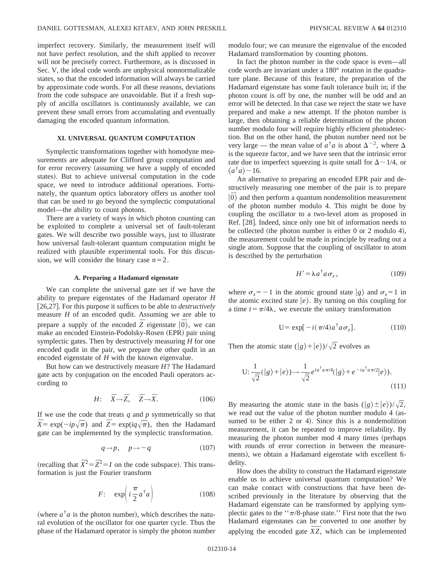imperfect recovery. Similarly, the measurement itself will not have perfect resolution, and the shift applied to recover will not be precisely correct. Furthermore, as is discussed in Sec. V, the ideal code words are unphysical nonnormalizable states, so that the encoded information will always be carried by approximate code words. For all these reasons, deviations from the code subspace are unavoidable. But if a fresh supply of ancilla oscillators is continuously available, we can prevent these small errors from accumulating and eventually damaging the encoded quantum information.

# **XI. UNIVERSAL QUANTUM COMPUTATION**

Symplectic transformations together with homodyne measurements are adequate for Clifford group computation and for error recovery (assuming we have a supply of encoded states). But to achieve universal computation in the code space, we need to introduce additional operations. Fortunately, the quantum optics laboratory offers us another tool that can be used to go beyond the symplectic computational model—the ability to count photons.

There are a variety of ways in which photon counting can be exploited to complete a universal set of fault-tolerant gates. We will describe two possible ways, just to illustrate how universal fault-tolerant quantum computation might be realized with plausible experimental tools. For this discussion, we will consider the binary case  $n=2$ .

### **A. Preparing a Hadamard eigenstate**

We can complete the universal gate set if we have the ability to prepare eigenstates of the Hadamard operator *H* [26,27]. For this purpose it suffices to be able to *destructively* measure *H* of an encoded qudit. Assuming we are able to prepare a supply of the encoded  $\overline{Z}$  eigenstate  $|\overline{0}\rangle$ , we can make an encoded Einstein-Podolsky-Rosen (EPR) pair using symplectic gates. Then by destructively measuring *H* for one encoded qudit in the pair, we prepare the other qudit in an encoded eigenstate of *H* with the known eigenvalue.

But how can we destructively measure *H*? The Hadamard gate acts by conjugation on the encoded Pauli operators according to

$$
H: \quad \bar{X} \to \bar{Z}, \quad \bar{Z} \to \bar{X}.
$$
 (106)

If we use the code that treats *q* and *p* symmetrically so that  $\bar{X} = \exp(-ip\sqrt{\pi})$  and  $\bar{Z} = \exp(iq\sqrt{\pi})$ , then the Hadamard gate can be implemented by the symplectic transformation.

$$
q \to p, \quad p \to -q \tag{107}
$$

(recalling that  $\bar{X}^2 = \bar{Z}^2 = I$  on the code subspace). This transformation is just the Fourier transform

$$
F: \quad \exp\left(i\frac{\pi}{2}a^{\dagger}a\right) \tag{108}
$$

(where  $a^{\dagger}a$  is the photon number), which describes the natural evolution of the oscillator for one quarter cycle. Thus the phase of the Hadamard operator is simply the photon number modulo four; we can measure the eigenvalue of the encoded Hadamard transformation by counting photons.

In fact the photon number in the code space is even—all code words are invariant under a 180° rotation in the quadrature plane. Because of this feature, the preparation of the Hadamard eigenstate has some fault tolerance built in; if the photon count is off by one, the number will be odd and an error will be detected. In that case we reject the state we have prepared and make a new attempt. If the photon number is large, then obtaining a reliable determination of the photon number modulo four will require highly efficient photodetection. But on the other hand, the photon number need not be very large — the mean value of  $a^{\dagger}a$  is about  $\Delta^{-2}$ , where  $\Delta$ is the squeeze factor, and we have seen that the intrinsic error rate due to imperfect squeezing is quite small for  $\Delta \sim 1/4$ , or  $\langle a^\dagger a \rangle \sim 16.$ 

An alternative to preparing an encoded EPR pair and destructively measuring one member of the pair is to prepare  $|\overrightarrow{0}\rangle$  and then perform a quantum nondemolition measurement of the photon number modulo 4. This might be done by coupling the oscillator to a two-level atom as proposed in Ref. [28]. Indeed, since only one bit of information needs to be collected (the photon number is either  $0$  or  $2$  modulo 4), the measurement could be made in principle by reading out a single atom. Suppose that the coupling of oscillator to atom is described by the perturbation

$$
H' = \lambda a^{\dagger} a \sigma_z, \qquad (109)
$$

where  $\sigma_z = -1$  in the atomic ground state  $|g\rangle$  and  $\sigma_z = 1$  in the atomic excited state  $|e\rangle$ . By turning on this coupling for a time  $t = \pi/4\lambda$ , we execute the unitary transformation

$$
U = \exp[-i(\pi/4)a^{\dagger}a\sigma_z].
$$
 (110)

Then the atomic state  $(|g\rangle + |e\rangle)/\sqrt{2}$  evolves as

$$
U: \frac{1}{\sqrt{2}}(|g\rangle + |e\rangle) \rightarrow \frac{1}{\sqrt{2}} e^{ia^{\dagger}a\pi/4}(|g\rangle + e^{-ia^{\dagger}a\pi/2}|e\rangle).
$$
\n(111)

By measuring the atomic state in the basis  $(|g\rangle \pm |e\rangle)/\sqrt{2}$ , we read out the value of the photon number modulo  $4$  (assumed to be either  $2$  or  $4$ ). Since this is a nondemolition measurement, it can be repeated to improve reliability. By measuring the photon number mod 4 many times (perhaps with rounds of error correction in between the measurements), we obtain a Hadamard eigenstate with excellent fidelity.

How does the ability to construct the Hadamard eigenstate enable us to achieve universal quantum computation? We can make contact with constructions that have been described previously in the literature by observing that the Hadamard eigenstate can be transformed by applying symplectic gates to the " $\pi/8$ -phase state." First note that the two Hadamard eigenstates can be converted to one another by applying the encoded gate  $\overline{XZ}$ , which can be implemented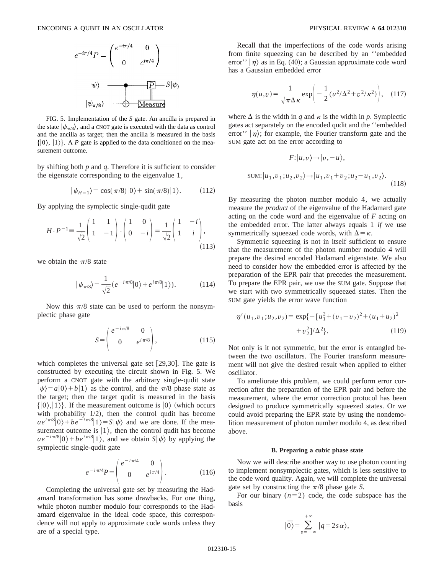

FIG. 5. Implementation of the *S* gate. An ancilla is prepared in the state  $|\psi_{\pi/8}\rangle$ , and a CNOT gate is executed with the data as control and the ancilla as target; then the ancilla is measured in the basis  $\{|0\rangle, |1\rangle\}$ . A *P* gate is applied to the data conditioned on the measurement outcome.

by shifting both *p* and *q*. Therefore it is sufficient to consider the eigenstate corresponding to the eigenvalue 1,

$$
|\psi_{H=1}\rangle = \cos(\pi/8)|0\rangle + \sin(\pi/8)|1\rangle. \tag{112}
$$

By applying the symplectic single-qudit gate

$$
H \cdot P^{-1} = \frac{1}{\sqrt{2}} \begin{pmatrix} 1 & 1 \\ 1 & -1 \end{pmatrix} \cdot \begin{pmatrix} 1 & 0 \\ 0 & -i \end{pmatrix} = \frac{1}{\sqrt{2}} \begin{pmatrix} 1 & -i \\ 1 & i \end{pmatrix},
$$
\n(113)

we obtain the  $\pi/8$  state

$$
|\psi_{\pi/8}\rangle = \frac{1}{\sqrt{2}} (e^{-i\pi/8} |0\rangle + e^{i\pi/8} |1\rangle). \tag{114}
$$

Now this  $\pi/8$  state can be used to perform the nonsymplectic phase gate

$$
S = \begin{pmatrix} e^{-i\pi/8} & 0 \\ 0 & e^{i\pi/8} \end{pmatrix},
$$
 (115)

which completes the universal gate set  $[29,30]$ . The gate is constructed by executing the circuit shown in Fig. 5. We perform a CNOT gate with the arbitrary single-qudit state  $|\psi\rangle = a|0\rangle + b|1\rangle$  as the control, and the  $\pi/8$  phase state as the target; then the target qudit is measured in the basis  $\{|0\rangle, |1\rangle\}$ . If the measurement outcome is  $|0\rangle$  (which occurs with probability  $1/2$ ), then the control qudit has become  $ae^{i\pi/8}|0\rangle + be^{-i\pi/8}|1\rangle = S|\psi\rangle$  and we are done. If the measurement outcome is  $|1\rangle$ , then the control qudit has become  $ae^{-i\pi/8}|0\rangle + be^{i\pi/8}|1\rangle$ , and we obtain  $S|\psi\rangle$  by applying the symplectic single-qudit gate

$$
e^{-i\pi/4}P = \begin{pmatrix} e^{-i\pi/4} & 0 \\ 0 & e^{i\pi/4} \end{pmatrix}.
$$
 (116)

Completing the universal gate set by measuring the Hadamard transformation has some drawbacks. For one thing, while photon number modulo four corresponds to the Hadamard eigenvalue in the ideal code space, this correspondence will not apply to approximate code words unless they are of a special type.

Recall that the imperfections of the code words arising from finite squeezing can be described by an ''embedded error''  $|\eta\rangle$  as in Eq. (40); a Gaussian approximate code word has a Gaussian embedded error

$$
\eta(u,v) = \frac{1}{\sqrt{\pi \Delta \kappa}} \exp\left(-\frac{1}{2} (u^2/\Delta^2 + v^2/\kappa^2)\right), \quad (117)
$$

where  $\Delta$  is the width in *q* and  $\kappa$  is the width in *p*. Symplectic gates act separately on the encoded qudit and the ''embedded error''  $|\eta\rangle$ ; for example, the Fourier transform gate and the SUM gate act on the error according to

$$
F: |u, v\rangle \to |v, -u\rangle,
$$
  
SUM:  $|u_1, v_1; u_2, v_2\rangle \to |u_1, v_1 + v_2; u_2 - u_1, v_2\rangle.$  (118)

By measuring the photon number modulo 4, we actually measure the *product* of the eigenvalue of the Hadamard gate acting on the code word and the eigenvalue of *F* acting on the embedded error. The latter always equals 1 *if* we use symmetrically squeezed code words, with  $\Delta = \kappa$ .

Symmetric squeezing is not in itself sufficient to ensure that the measurement of the photon number modulo 4 will prepare the desired encoded Hadamard eigenstate. We also need to consider how the embedded error is affected by the preparation of the EPR pair that precedes the measurement. To prepare the EPR pair, we use the SUM gate. Suppose that we start with two symmetrically squeezed states. Then the SUM gate yields the error wave function

$$
\eta'(u_1, v_1; u_2, v_2) = \exp\{-\left[u_1^2 + (v_1 - v_2)^2 + (u_1 + u_2)^2 + v_2^2\right]/\Delta^2\}.
$$
\n(119)

Not only is it not symmetric, but the error is entangled between the two oscillators. The Fourier transform measurement will not give the desired result when applied to either oscillator.

To ameliorate this problem, we could perform error correction after the preparation of the EPR pair and before the measurement, where the error correction protocol has been designed to produce symmetrically squeezed states. Or we could avoid preparing the EPR state by using the nondemolition measurement of photon number modulo 4, as described above.

# **B. Preparing a cubic phase state**

Now we will describe another way to use photon counting to implement nonsymplectic gates, which is less sensitive to the code word quality. Again, we will complete the universal gate set by constructing the  $\pi/8$  phase gate *S*.

For our binary  $(n=2)$  code, the code subspace has the basis

$$
|\overline{0}\rangle = \sum_{s=-\infty}^{+\infty} |q=2s\,\alpha\rangle,
$$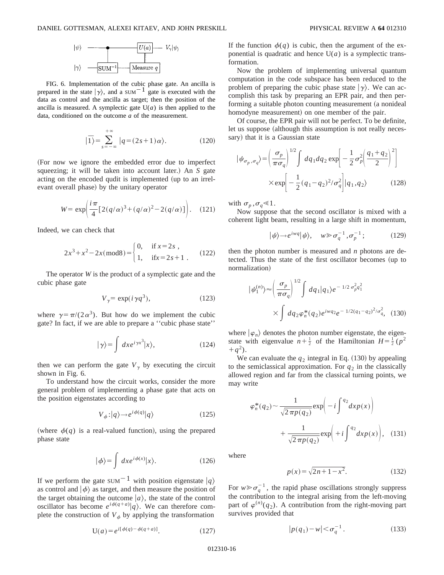

FIG. 6. Implementation of the cubic phase gate. An ancilla is prepared in the state  $|\gamma\rangle$ , and a  $\text{SUM}^{-1}$  gate is executed with the data as control and the ancilla as target; then the position of the ancilla is measured. A symplectic gate  $U(a)$  is then applied to the data, conditioned on the outcome *a* of the measurement.

$$
|\overline{1}\rangle = \sum_{s=-\infty}^{+\infty} |q = (2s+1)\alpha\rangle.
$$
 (120)

(For now we ignore the embedded error due to imperfect squeezing; it will be taken into account later.) An *S* gate acting on the encoded qudit is implemented (up to an irrelevant overall phase) by the unitary operator

$$
W = \exp\left(\frac{i\pi}{4} \left[2(q/\alpha)^3 + (q/\alpha)^2 - 2(q/\alpha)\right]\right). \quad (121)
$$

Indeed, we can check that

$$
2x3 + x2 - 2x(mod8) = \begin{cases} 0, & \text{if } x = 2s \\ 1, & \text{if } x = 2s + 1 \end{cases}
$$
 (122)

The operator *W* is the product of a symplectic gate and the cubic phase gate

$$
V_{\gamma} = \exp(i\,\gamma q^3),\tag{123}
$$

where  $\gamma = \pi/(2\alpha^3)$ . But how do we implement the cubic gate? In fact, if we are able to prepare a ''cubic phase state''

$$
|\gamma\rangle = \int dx e^{i\gamma x^3} |x\rangle, \qquad (124)
$$

then we can perform the gate  $V_{\gamma}$  by executing the circuit shown in Fig. 6.

To understand how the circuit works, consider the more general problem of implementing a phase gate that acts on the position eigenstates according to

$$
V_{\phi}:|q\rangle \rightarrow e^{i\phi(q)}|q\rangle \tag{125}
$$

(where  $\phi(q)$  is a real-valued function), using the prepared phase state

$$
|\phi\rangle = \int dx e^{i\phi(x)}|x\rangle.
$$
 (126)

If we perform the gate  $\text{SUM}^{-1}$  with position eigenstate  $|q\rangle$ as control and  $|\phi\rangle$  as target, and then measure the position of the target obtaining the outcome  $|a\rangle$ , the state of the control oscillator has become  $e^{i\phi(q+a)}|q\rangle$ . We can therefore complete the construction of  $V_{\phi}$  by applying the transformation

$$
U(a) = e^{i[\phi(q) - \phi(q+a)]}.
$$
 (127)

If the function  $\phi(q)$  is cubic, then the argument of the exponential is quadratic and hence  $U(a)$  is a symplectic transformation.

Now the problem of implementing universal quantum computation in the code subspace has been reduced to the problem of preparing the cubic phase state  $|\gamma\rangle$ . We can accomplish this task by preparing an EPR pair, and then performing a suitable photon counting measurement (a nonideal homodyne measurement) on one member of the pair.

Of course, the EPR pair will not be perfect. To be definite, let us suppose (although this assumption is not really necessary) that it is a Gaussian state

$$
\left| \psi_{\sigma_p, \sigma_q} \right\rangle = \left( \frac{\sigma_p}{\pi \sigma_q} \right)^{1/2} \int dq_1 dq_2 \exp \left[ -\frac{1}{2} \sigma_p^2 \left( \frac{q_1 + q_2}{2} \right)^2 \right]
$$

$$
\times \exp \left[ -\frac{1}{2} (q_1 - q_2)^2 / \sigma_q^2 \right] | q_1, q_2 \rangle \tag{128}
$$

with  $\sigma_p$ ,  $\sigma_q \ll 1$ .

Now suppose that the second oscillator is mixed with a coherent light beam, resulting in a large shift in momentum,

$$
|\psi\rangle \rightarrow e^{iwq}|\psi\rangle, \quad w \gg \sigma_q^{-1}, \sigma_p^{-1}; \quad (129)
$$

then the photon number is measured and *n* photons are detected. Thus the state of the first oscillator becomes (up to normalization)

$$
|\psi_1^{(n)}\rangle \approx \left(\frac{\sigma_p}{\pi \sigma_q}\right)^{1/2} \int dq_1 |q_1\rangle e^{-1/2 \sigma_p^2 q_1^2}
$$
  
 
$$
\times \int dq_2 \varphi_n^*(q_2) e^{iwq_2} e^{-1/2(q_1 - q_2)^2/\sigma_q^2}, \quad (130)
$$

where  $|\varphi_n\rangle$  denotes the photon number eigenstate, the eigenstate with eigenvalue  $n + \frac{1}{2}$  of the Hamiltonian  $H = \frac{1}{2} (p^2)$  $+q^{2}$ ).

We can evaluate the  $q_2$  integral in Eq. (130) by appealing to the semiclassical approximation. For  $q_2$  in the classically allowed region and far from the classical turning points, we may write

$$
\varphi_n^*(q_2) \sim \frac{1}{\sqrt{2\pi p(q_2)}} \exp\left(-i \int^{q_2} dx p(x)\right)
$$

$$
+ \frac{1}{\sqrt{2\pi p(q_2)}} \exp\left(+i \int^{q_2} dx p(x)\right), \quad (131)
$$

where

$$
p(x) = \sqrt{2n + 1 - x^2}.
$$
 (132)

For  $w \ge \sigma_q^{-1}$ , the rapid phase oscillations strongly suppress the contribution to the integral arising from the left-moving part of  $\varphi^{(n)}(q_2)$ . A contribution from the right-moving part survives provided that

$$
|p(q_1) - w| < \sigma_q^{-1} \,. \tag{133}
$$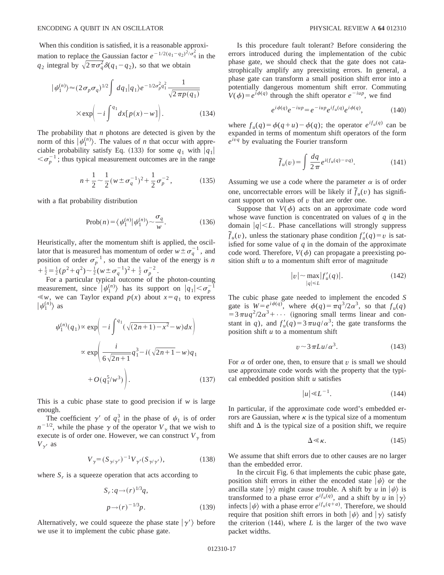When this condition is satisfied, it is a reasonable approximation to replace the Gaussian factor  $e^{-1/2(q_1-q_2)^2/\sigma_q^2}$  in the  $q_2$  integral by  $\sqrt{2\pi\sigma_q^2} \delta(q_1-q_2)$ , so that we obtain

$$
|\psi_1^{(n)}\rangle \approx (2\sigma_p \sigma_q)^{1/2} \int dq_1|q_1\rangle e^{-1/2\sigma_p^2 q_1^2} \frac{1}{\sqrt{2\pi p(q_1)}}
$$

$$
\times \exp\left(-i \int^{q_1} dx [p(x)-w]\right).
$$
 (134)

The probability that *n* photons are detected is given by the norm of this  $|\psi_1^{(n)}\rangle$ . The values of *n* that occur with appreciable probability satisfy Eq. (133) for some  $q_1$  with  $|q_1|$  $\langle \sigma_p^{-1}$ ; thus typical measurement outcomes are in the range

$$
n + \frac{1}{2} \sim \frac{1}{2} (w \pm \sigma_q^{-1})^2 + \frac{1}{2} \sigma_p^{-2},
$$
 (135)

with a flat probability distribution

$$
\text{Prob}(n) = \langle \psi_1^{(n)} | \psi_1^{(n)} \rangle \sim \frac{\sigma_q}{w}.
$$
 (136)

Heuristically, after the momentum shift is applied, the oscillator that is measured has momentum of order  $w \pm \sigma_q^{-1}$ , and position of order  $\sigma_p^{-1}$ , so that the value of the energy is *n*  $+\frac{1}{2} = \frac{1}{2}(p^2+q^2) \sim \frac{1}{2}(w \pm \sigma_q^{-1})^2 + \frac{1}{2} \sigma_p^{-2}$ .

For a particular typical outcome of the photon-counting measurement, since  $|\psi_1^{(n)}\rangle$  has its support on  $|q_1| < \sigma_p^{-1}$  $\leq w$ , we can Taylor expand *p*(*x*) about  $x = q_1$  to express  $|\psi_1^{(n)}\rangle$  as

$$
\psi_1^{(n)}(q_1) \propto \exp\left(-i \int_1^{q_1} (\sqrt{(2n+1) - x^2} - w) dx\right)
$$

$$
\propto \exp\left(\frac{i}{6\sqrt{2n+1}} q_1^3 - i(\sqrt{2n+1} - w) q_1 + O(q_1^5/w^3)\right).
$$
(137)

This is a cubic phase state to good precision if *w* is large enough.

The coefficient  $\gamma'$  of  $q_1^3$  in the phase of  $\psi_1$  is of order  $n^{-1/2}$ , while the phase  $\gamma$  of the operator  $V_{\gamma}$  that we wish to execute is of order one. However, we can construct  $V_{\gamma}$  from  $V_{\gamma'}$  as

$$
V_{\gamma} = (S_{\gamma/\gamma'})^{-1} V_{\gamma'}(S_{\gamma/\gamma'}),
$$
\n(138)

where  $S_r$  is a squeeze operation that acts according to

$$
S_r: q \to (r)^{1/3}q,
$$
  
\n
$$
p \to (r)^{-1/3}p.
$$
\n(139)

Alternatively, we could squeeze the phase state  $|\gamma\rangle$  before we use it to implement the cubic phase gate.

Is this procedure fault tolerant? Before considering the errors introduced during the implementation of the cubic phase gate, we should check that the gate does not catastrophically amplify any preexisting errors. In general, a phase gate can transform a small position shift error into a potentially dangerous momentum shift error. Commuting  $V(\phi) = e^{i\phi(q)}$  through the shift operator  $e^{-iup}$ , we find

$$
e^{i\phi(q)}e^{-iup} = e^{-iup}e^{if_u(q)}e^{i\phi(q)}, \qquad (140)
$$

where  $f_u(q) = \phi(q+u) - \phi(q)$ ; the operator  $e^{if_u(q)}$  can be expanded in terms of momentum shift operators of the form  $e^{ivq}$  by evaluating the Fourier transform

$$
\widetilde{f}_u(v) = \int \frac{dq}{2\pi} e^{i(f_u(q) - vq)}.
$$
\n(141)

Assuming we use a code where the parameter  $\alpha$  is of order one, uncorrectable errors will be likely if  $\tilde{f}_u(v)$  has significant support on values of *v* that are order one.

Suppose that  $V(\phi)$  acts on an approximate code word whose wave function is concentrated on values of *q* in the domain  $|q| \leq L$ . Phase cancellations will strongly suppress  $\tilde{f}_u(v)$ , unless the stationary phase condition  $f'_u(q) = v$  is satisfied for some value of *q* in the domain of the approximate code word. Therefore,  $V(\phi)$  can propagate a preexisting position shift *u* to a momentum shift error of magnitude

$$
|v| \sim \max_{|q| \le L} |f'_u(q)|. \tag{142}
$$

The cubic phase gate needed to implement the encoded *S* gate is  $W = e^{i\phi(q)}$ , where  $\phi(q) = \pi q^3/2\alpha^3$ , so that  $f_u(q)$  $=3\pi uq^{2}/2\alpha^{3}+\cdots$  (ignoring small terms linear and constant in *q*), and  $f'_u(q) = 3 \pi uq/\alpha^3$ ; the gate transforms the position shift *u* to a momentum shift

$$
v \sim 3\pi L u / \alpha^3. \tag{143}
$$

For  $\alpha$  of order one, then, to ensure that  $\nu$  is small we should use approximate code words with the property that the typical embedded position shift *u* satisfies

$$
|u| \ll L^{-1}.\tag{144}
$$

In particular, if the approximate code word's embedded errors are Gaussian, where  $\kappa$  is the typical size of a momentum shift and  $\Delta$  is the typical size of a position shift, we require

$$
\Delta \ll \kappa. \tag{145}
$$

We assume that shift errors due to other causes are no larger than the embedded error.

In the circuit Fig. 6 that implements the cubic phase gate, position shift errors in either the encoded state  $|\psi\rangle$  or the ancilla state  $|\gamma\rangle$  might cause trouble. A shift by *u* in  $|\psi\rangle$  is transformed to a phase error  $e^{if_u(q)}$ , and a shift by *u* in  $|\gamma\rangle$ infects  $|\psi\rangle$  with a phase error  $e^{if_u(q+a)}$ . Therefore, we should require that position shift errors in both  $|\psi\rangle$  and  $|\gamma\rangle$  satisfy the criterion  $(144)$ , where *L* is the larger of the two wave packet widths.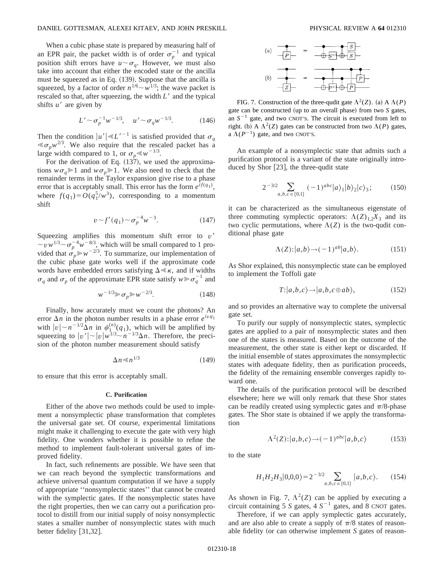### DANIEL GOTTESMAN, ALEXEI KITAEV, AND JOHN PRESKILL PHYSICAL REVIEW A **64** 012310

When a cubic phase state is prepared by measuring half of an EPR pair, the packet width is of order  $\sigma_p^{-1}$  and typical position shift errors have  $u \sim \sigma_q$ . However, we must also take into account that either the encoded state or the ancilla must be squeezed as in Eq.  $(139)$ . Suppose that the ancilla is squeezed, by a factor of order  $n^{1/6} \sim w^{1/3}$ ; the wave packet is rescaled so that, after squeezing, the width  $L<sup>3</sup>$  and the typical shifts  $u'$  are given by

$$
L' \sim \sigma_p^{-1} w^{-1/3}, \quad u' \sim \sigma_q w^{-1/3}.
$$
 (146)

Then the condition  $|u'| \ll L'^{-1}$  is satisfied provided that  $\sigma_q$  $\ll \sigma_p w^{2/3}$ . We also require that the rescaled packet has a large width compared to 1, or  $\sigma_p \ll w^{-1/3}$ .

For the derivation of Eq.  $(137)$ , we used the approximations  $w\sigma_q \ge 1$  and  $w\sigma_p \ge 1$ . We also need to check that the remainder terms in the Taylor expansion give rise to a phase error that is acceptably small. This error has the form  $e^{if(q_1)}$ , where  $f(q_1) = O(q_1^5/w^3)$ , corresponding to a momentum shift

$$
v \sim f'(q_1) \sim \sigma_p^{-4} w^{-3}.
$$
 (147)

Squeezing amplifies this momentum shift error to  $v'$  $\sim v \, w^{1/3} \sim \sigma_p^{-4} w^{-8/3}$ , which will be small compared to 1 provided that  $\sigma_p \gg w^{-2/3}$ . To summarize, our implementation of the cubic phase gate works well if the approximate code words have embedded errors satisfying  $\Delta \ll \kappa$ , and if widths  $\sigma_q$  and  $\sigma_p$  of the approximate EPR state satisfy  $w \ge \sigma_q^{-1}$  and

$$
w^{-1/3} \gg \sigma_p \gg w^{-2/3}.\tag{148}
$$

Finally, how accurately must we count the photons? An error  $\Delta n$  in the photon number results in a phase error  $e^{ivq_1}$ with  $|v| \sim n^{-1/2} \Delta n$  in  $\psi_1^{(n)}(q_1)$ , which will be amplified by squeezing to  $|v'| \sim |v| w^{1/3} \sim n^{-1/3} \Delta n$ . Therefore, the precision of the photon number measurement should satisfy

$$
\Delta n \ll n^{1/3} \tag{149}
$$

to ensure that this error is acceptably small.

### **C. Purification**

Either of the above two methods could be used to implement a nonsymplectic phase transformation that completes the universal gate set. Of course, experimental limitations might make it challenging to execute the gate with very high fidelity. One wonders whether it is possible to refine the method to implement fault-tolerant universal gates of improved fidelity.

In fact, such refinements are possible. We have seen that we can reach beyond the symplectic transformations and achieve universal quantum computation if we have a supply of appropriate ''nonsymplectic states'' that cannot be created with the symplectic gates. If the nonsymplectic states have the right properties, then we can carry out a purification protocol to distill from our initial supply of noisy nonsymplectic states a smaller number of nonsymplectic states with much better fidelity  $[31,32]$ .

FIG. 7. Construction of the three-qudit gate  $\Lambda^2(Z)$ . (a) A  $\Lambda(P)$ gate can be constructed (up to an overall phase) from two *S* gates, an  $S^{-1}$  gate, and two CNOT's. The circuit is executed from left to right. (b) A  $\Lambda^2(Z)$  gates can be constructed from two  $\Lambda(P)$  gates, a  $\Lambda(P^{-1})$  gate, and two CNOT'S.

An example of a nonsymplectic state that admits such a purification protocol is a variant of the state originally introduced by Shor  $[23]$ , the three-qudit state

$$
2^{-3/2} \sum_{a,b,c \in \{0,1\}} (-1)^{abc} |a\rangle_1 |b\rangle_2 |c\rangle_3; \tag{150}
$$

it can be characterized as the simultaneous eigenstate of three commuting symplectic operators:  $\Lambda(Z)_{1,2}X_3$  and its two cyclic permutations, where  $\Lambda(Z)$  is the two-qudit conditional phase gate

$$
\Lambda(Z):|a,b\rangle \to (-1)^{ab}|a,b\rangle. \tag{151}
$$

As Shor explained, this nonsymplectic state can be employed to implement the Toffoli gate

$$
T: |a,b,c\rangle \to |a,b,c \oplus ab\rangle, \tag{152}
$$

and so provides an alternative way to complete the universal gate set.

To purify our supply of nonsymplectic states, symplectic gates are applied to a pair of nonsymplectic states and then one of the states is measured. Based on the outcome of the measurement, the other state is either kept or discarded. If the initial ensemble of states approximates the nonsymplectic states with adequate fidelity, then as purification proceeds, the fidelity of the remaining ensemble converges rapidly toward one.

The details of the purification protocol will be described elsewhere; here we will only remark that these Shor states can be readily created using symplectic gates and  $\pi/8$ -phase gates. The Shor state is obtained if we apply the transformation

$$
\Lambda^2(Z):|a,b,c\rangle \to (-1)^{abc}|a,b,c\rangle \tag{153}
$$

to the state

$$
H_1 H_2 H_3 |0,0,0\rangle = 2^{-3/2} \sum_{a,b,c \in \{0,1\}} |a,b,c\rangle.
$$
 (154)

As shown in Fig. 7,  $\Lambda^2(Z)$  can be applied by executing a circuit containing 5 *S* gates,  $4 S^{-1}$  gates, and 8 CNOT gates.

Therefore, if we can apply symplectic gates accurately, and are also able to create a supply of  $\pi/8$  states of reasonable fidelity (or can otherwise implement *S* gates of reason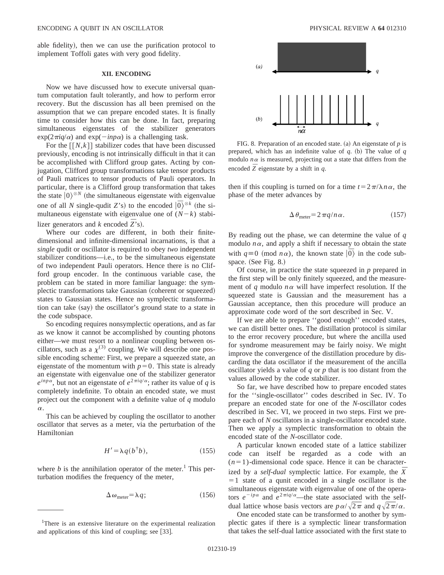able fidelity), then we can use the purification protocol to implement Toffoli gates with very good fidelity.

#### **XII. ENCODING**

Now we have discussed how to execute universal quantum computation fault tolerantly, and how to perform error recovery. But the discussion has all been premised on the assumption that we can prepare encoded states. It is finally time to consider how this can be done. In fact, preparing simultaneous eigenstates of the stabilizer generators  $\exp(2\pi i q/\alpha)$  and  $\exp(-in p\alpha)$  is a challenging task.

For the  $[[N,k]]$  stabilizer codes that have been discussed previously, encoding is not intrinsically difficult in that it can be accomplished with Clifford group gates. Acting by conjugation, Clifford group transformations take tensor products of Pauli matrices to tensor products of Pauli operators. In particular, there is a Clifford group transformation that takes the state  $|0\rangle^{\otimes N}$  (the simultaneous eigenstate with eigenvalue one of all *N* single-qudit *Z*'s) to the encoded  $|\overline{0}\rangle^{\otimes k}$  (the simultaneous eigenstate with eigenvalue one of  $(N-k)$  stabilizer generators and *k* encoded  $\overline{Z}$ 's).

Where our codes are different, in both their finitedimensional and infinite-dimensional incarnations, is that a *single* qudit or oscillator is required to obey *two* independent stabilizer conditions—i.e., to be the simultaneous eigenstate of two independent Pauli operators. Hence there is no Clifford group encoder. In the continuous variable case, the problem can be stated in more familiar language: the symplectic transformations take Gaussian (coherent or squeezed) states to Gaussian states. Hence no symplectic transformation can take (say) the oscillator's ground state to a state in the code subspace.

So encoding requires nonsymplectic operations, and as far as we know it cannot be accomplished by counting photons either—we must resort to a nonlinear coupling between oscillators, such as a  $\chi^{(3)}$  coupling. We will describe one possible encoding scheme: First, we prepare a squeezed state, an eigenstate of the momentum with  $p=0$ . This state is already an eigenstate with eigenvalue one of the stabilizer generator  $e^{inp\alpha}$ , but not an eigenstate of  $e^{2\pi i q/\alpha}$ ; rather its value of *q* is completely indefinite. To obtain an encoded state, we must project out the component with a definite value of *q* modulo  $\alpha$ .

This can be achieved by coupling the oscillator to another oscillator that serves as a meter, via the perturbation of the Hamiltonian

$$
H' = \lambda q(b^{\dagger}b), \tag{155}
$$

where *b* is the annihilation operator of the meter.<sup>1</sup> This perturbation modifies the frequency of the meter,

$$
\Delta \omega_{\text{meter}} = \lambda q; \tag{156}
$$



FIG. 8. Preparation of an encoded state. (a) An eigenstate of  $p$  is prepared, which has an indefinite value of  $q$ . (b) The value of  $q$ modulo  $n\alpha$  is measured, projecting out a state that differs from the encoded  $\overline{Z}$  eigenstate by a shift in *q*.

then if this coupling is turned on for a time  $t=2\pi/\lambda n\alpha$ , the phase of the meter advances by

$$
\Delta \theta_{\text{meter}} = 2 \pi q / n \alpha. \tag{157}
$$

By reading out the phase, we can determine the value of *q* modulo  $n\alpha$ , and apply a shift if necessary to obtain the state with  $q \equiv 0$  (mod  $n\alpha$ ), the known state  $|\overline{0}\rangle$  in the code subspace. (See Fig.  $8.$ )

Of course, in practice the state squeezed in *p* prepared in the first step will be only finitely squeezed, and the measurement of  $q$  modulo  $n \alpha$  will have imperfect resolution. If the squeezed state is Gaussian and the measurement has a Gaussian acceptance, then this procedure will produce an approximate code word of the sort described in Sec. V.

If we are able to prepare ''good enough'' encoded states, we can distill better ones. The distillation protocol is similar to the error recovery procedure, but where the ancilla used for syndrome measurement may be fairly noisy. We might improve the convergence of the distillation procedure by discarding the data oscillator if the measurement of the ancilla oscillator yields a value of *q* or *p* that is too distant from the values allowed by the code stabilizer.

So far, we have described how to prepare encoded states for the ''single-oscillator'' codes described in Sec. IV. To prepare an encoded state for one of the *N*-oscillator codes described in Sec. VI, we proceed in two steps. First we prepare each of *N* oscillators in a single-oscillator encoded state. Then we apply a symplectic transformation to obtain the encoded state of the *N*-oscillator code.

A particular known encoded state of a lattice stabilizer code can itself be regarded as a code with an  $(n=1)$ -dimensional code space. Hence it can be characterized by a *self-dual* symplectic lattice. For example, the  $\bar{X}$  $=1$  state of a qunit encoded in a single oscillator is the simultaneous eigenstate with eigenvalue of one of the operators  $e^{-ip\alpha}$  and  $e^{2\pi i q/\alpha}$ —the state associated with the selfdual lattice whose basis vectors are  $p \alpha / \sqrt{2 \pi}$  and  $q \sqrt{2 \pi / \alpha}$ .

One encoded state can be transformed to another by symplectic gates if there is a symplectic linear transformation that takes the self-dual lattice associated with the first state to

<sup>&</sup>lt;sup>1</sup>There is an extensive literature on the experimental realization and applications of this kind of coupling; see  $[33]$ .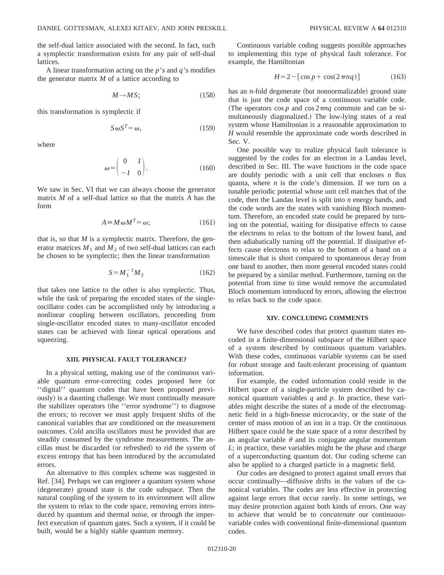the self-dual lattice associated with the second. In fact, such a symplectic transformation exists for any pair of self-dual lattices.

A linear transformation acting on the *p*'s and *q*'s modifies the generator matrix *M* of a lattice according to

$$
M \rightarrow MS; \tag{158}
$$

this transformation is symplectic if

$$
S\omega S^T = \omega,\tag{159}
$$

where

$$
\omega = \begin{pmatrix} 0 & I \\ -I & 0 \end{pmatrix} . \tag{160}
$$

We saw in Sec. VI that we can always choose the generator matrix *M* of a self-dual lattice so that the matrix *A* has the form

$$
A \equiv M \,\omega M^T = \omega;\tag{161}
$$

that is, so that  $M$  is a symplectic matrix. Therefore, the generator matrices  $M_1$  and  $M_2$  of two self-dual lattices can each be chosen to be symplectic; then the linear transformation

$$
S = M_1^{-1} M_2 \tag{162}
$$

that takes one lattice to the other is also symplectic. Thus, while the task of preparing the encoded states of the singleoscillator codes can be accomplished only by introducing a nonlinear coupling between oscillators, proceeding from single-oscillator encoded states to many-oscillator encoded states can be achieved with linear optical operations and squeezing.

# **XIII. PHYSICAL FAULT TOLERANCE?**

In a physical setting, making use of the continuous variable quantum error-correcting codes proposed here (or ''digital'' quantum codes that have been proposed previously) is a daunting challenge. We must continually measure the stabilizer operators (the "error syndrome") to diagnose the errors; to recover we must apply frequent shifts of the canonical variables that are conditioned on the measurement outcomes. Cold ancilla oscillators must be provided that are steadily consumed by the syndrome measurements. The ancillas must be discarded (or refreshed) to rid the system of excess entropy that has been introduced by the accumulated errors.

An alternative to this complex scheme was suggested in Ref. [34]. Perhaps we can engineer a quantum system whose (degenerate) ground state is the code subspace. Then the natural coupling of the system to its environment will allow the system to relax to the code space, removing errors introduced by quantum and thermal noise, or through the imperfect execution of quantum gates. Such a system, if it could be built, would be a highly stable quantum memory.

Continuous variable coding suggests possible approaches to implementing this type of physical fault tolerance. For example, the Hamiltonian

$$
H = 2 - \left[\cos p + \cos(2\pi nq)\right] \tag{163}
$$

has an *n*-fold degenerate (but nonnormalizable) ground state that is just the code space of a continuous variable code. (The operators cos *p* and cos  $2\pi nq$  commute and can be simultaneously diagonalized.) The low-lying states of a real system whose Hamiltonian is a reasonable approximation to *H* would resemble the approximate code words described in Sec. V.

One possible way to realize physical fault tolerance is suggested by the codes for an electron in a Landau level, described in Sec. III. The wave functions in the code space are doubly periodic with a unit cell that encloses *n* flux quanta, where *n* is the code's dimension. If we turn on a tunable periodic potential whose unit cell matches that of the code, then the Landau level is split into *n* energy bands, and the code words are the states with vanishing Bloch momentum. Therefore, an encoded state could be prepared by turning on the potential, waiting for dissipative effects to cause the electrons to relax to the bottom of the lowest band, and then adiabatically turning off the potential. If dissipative effects cause electrons to relax to the bottom of a band on a timescale that is short compared to spontaneous decay from one band to another, then more general encoded states could be prepared by a similar method. Furthermore, turning on the potential from time to time would remove the accumulated Bloch momentum introduced by errors, allowing the electron to relax back to the code space.

### **XIV. CONCLUDING COMMENTS**

We have described codes that protect quantum states encoded in a finite-dimensional subspace of the Hilbert space of a system described by continuous quantum variables. With these codes, continuous variable systems can be used for robust storage and fault-tolerant processing of quantum information.

For example, the coded information could reside in the Hilbert space of a single-particle system described by canonical quantum variables *q* and *p*. In practice, these variables might describe the states of a mode of the electromagnetic field in a high-finesse microcavity, or the state of the center of mass motion of an ion in a trap. Or the continuous Hilbert space could be the state space of a rotor described by an angular variable  $\theta$  and its conjugate angular momentum *L*; in practice, these variables might be the phase and charge of a superconducting quantum dot. Our coding scheme can also be applied to a charged particle in a magnetic field.

Our codes are designed to protect against small errors that occur continually—diffusive drifts in the values of the canonical variables. The codes are less effective in protecting against large errors that occur rarely. In some settings, we may desire protection against both kinds of errors. One way to achieve that would be to *concatenate* our continuousvariable codes with conventional finite-dimensional quantum codes.